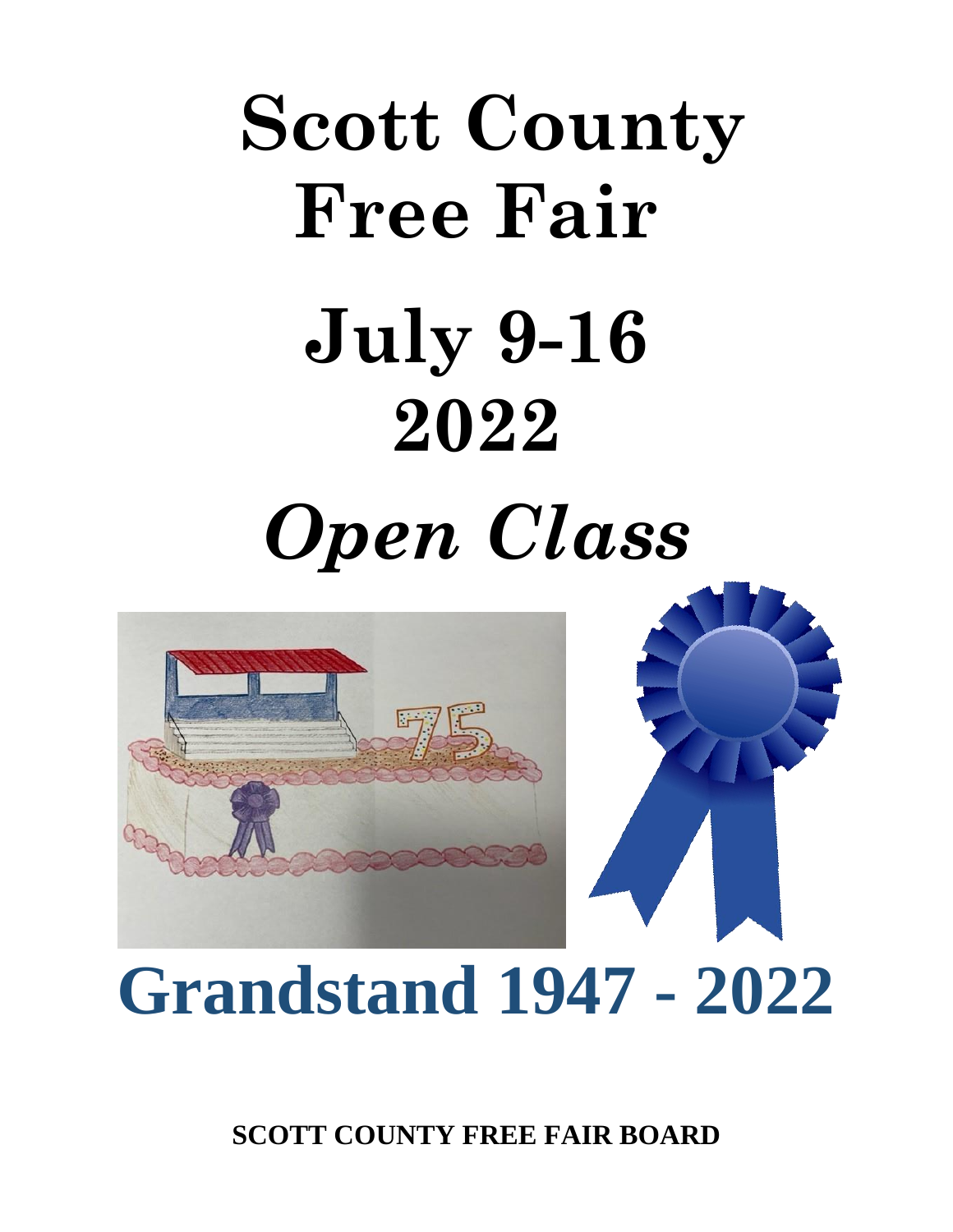# **Scott County Free Fair July 9-16 2022** *Open Class*



## **Grandstand 1947 - 2022**

**SCOTT COUNTY FREE FAIR BOARD**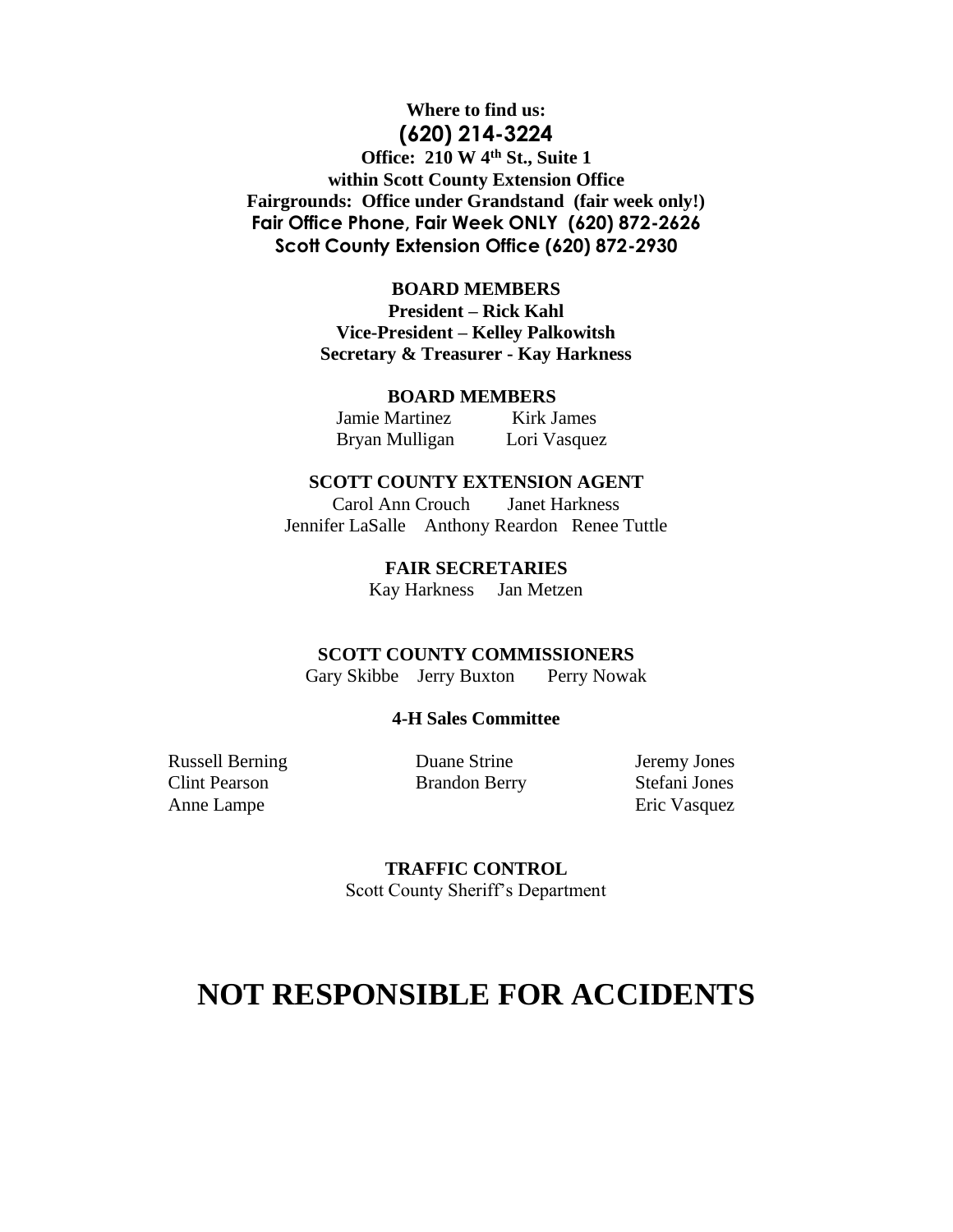#### **Where to find us: (620) 214-3224 Office: 210 W 4th St., Suite 1 within Scott County Extension Office Fairgrounds: Office under Grandstand (fair week only!) Fair Office Phone, Fair Week ONLY (620) 872-2626 Scott County Extension Office (620) 872-2930**

#### **BOARD MEMBERS**

**President – Rick Kahl Vice-President – Kelley Palkowitsh Secretary & Treasurer - Kay Harkness**

#### **BOARD MEMBERS**

 Jamie Martinez Kirk James Bryan Mulligan Lori Vasquez

#### **SCOTT COUNTY EXTENSION AGENT**

Carol Ann Crouch Janet Harkness Jennifer LaSalle Anthony Reardon Renee Tuttle

> **FAIR SECRETARIES** Kay Harkness Jan Metzen

#### **SCOTT COUNTY COMMISSIONERS**

Gary Skibbe Jerry BuxtonPerry Nowak

#### **4-H Sales Committee**

Russell Berning Clint Pearson Anne Lampe

 Duane Strine Brandon Berry

Jeremy Jones Stefani Jones Eric Vasquez

**TRAFFIC CONTROL** Scott County Sheriff's Department

### **NOT RESPONSIBLE FOR ACCIDENTS**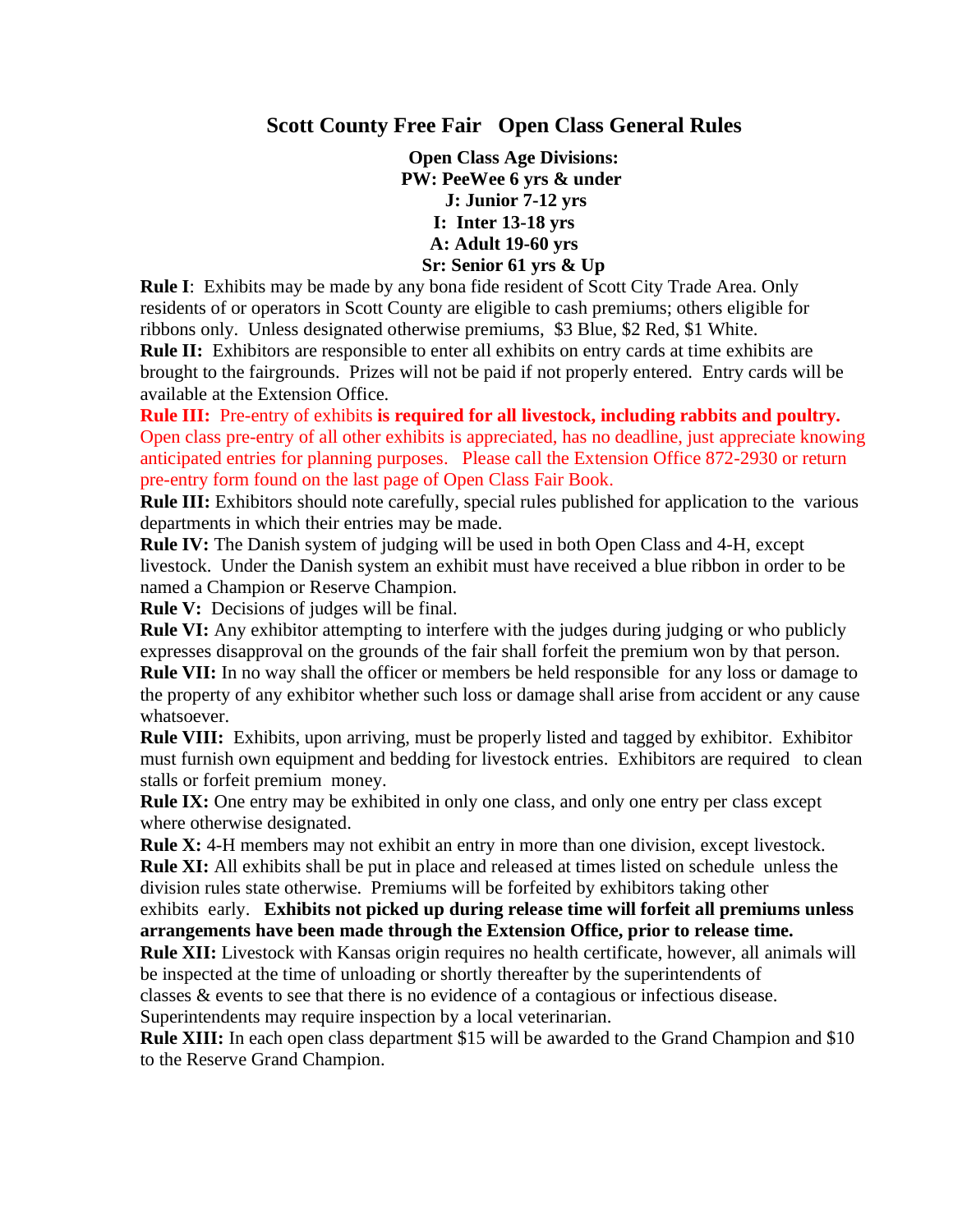#### **Scott County Free Fair Open Class General Rules**

 **Open Class Age Divisions: PW: PeeWee 6 yrs & under J: Junior 7-12 yrs I: Inter 13-18 yrs A: Adult 19-60 yrs Sr: Senior 61 yrs & Up**

**Rule I**: Exhibits may be made by any bona fide resident of Scott City Trade Area. Only residents of or operators in Scott County are eligible to cash premiums; others eligible for ribbons only. Unless designated otherwise premiums, \$3 Blue, \$2 Red, \$1 White. **Rule II:** Exhibitors are responsible to enter all exhibits on entry cards at time exhibits are brought to the fairgrounds. Prizes will not be paid if not properly entered. Entry cards will be available at the Extension Office.

**Rule III:** Pre-entry of exhibits **is required for all livestock, including rabbits and poultry.** Open class pre-entry of all other exhibits is appreciated, has no deadline, just appreciate knowing anticipated entries for planning purposes. Please call the Extension Office 872-2930 or return pre-entry form found on the last page of Open Class Fair Book.

**Rule III:** Exhibitors should note carefully, special rules published for application to the various departments in which their entries may be made.

**Rule IV:** The Danish system of judging will be used in both Open Class and 4-H, except livestock. Under the Danish system an exhibit must have received a blue ribbon in order to be named a Champion or Reserve Champion.

**Rule V:** Decisions of judges will be final.

**Rule VI:** Any exhibitor attempting to interfere with the judges during judging or who publicly expresses disapproval on the grounds of the fair shall forfeit the premium won by that person. **Rule VII:** In no way shall the officer or members be held responsible for any loss or damage to the property of any exhibitor whether such loss or damage shall arise from accident or any cause

whatsoever.

**Rule VIII:** Exhibits, upon arriving, must be properly listed and tagged by exhibitor. Exhibitor must furnish own equipment and bedding for livestock entries. Exhibitors are required to clean stalls or forfeit premium money.

**Rule IX:** One entry may be exhibited in only one class, and only one entry per class except where otherwise designated.

**Rule X:** 4-H members may not exhibit an entry in more than one division, except livestock. **Rule XI:** All exhibits shall be put in place and released at times listed on schedule unless the division rules state otherwise. Premiums will be forfeited by exhibitors taking other

exhibits early. **Exhibits not picked up during release time will forfeit all premiums unless arrangements have been made through the Extension Office, prior to release time.**

**Rule XII:** Livestock with Kansas origin requires no health certificate, however, all animals will be inspected at the time of unloading or shortly thereafter by the superintendents of classes & events to see that there is no evidence of a contagious or infectious disease.

Superintendents may require inspection by a local veterinarian.

**Rule XIII:** In each open class department \$15 will be awarded to the Grand Champion and \$10 to the Reserve Grand Champion.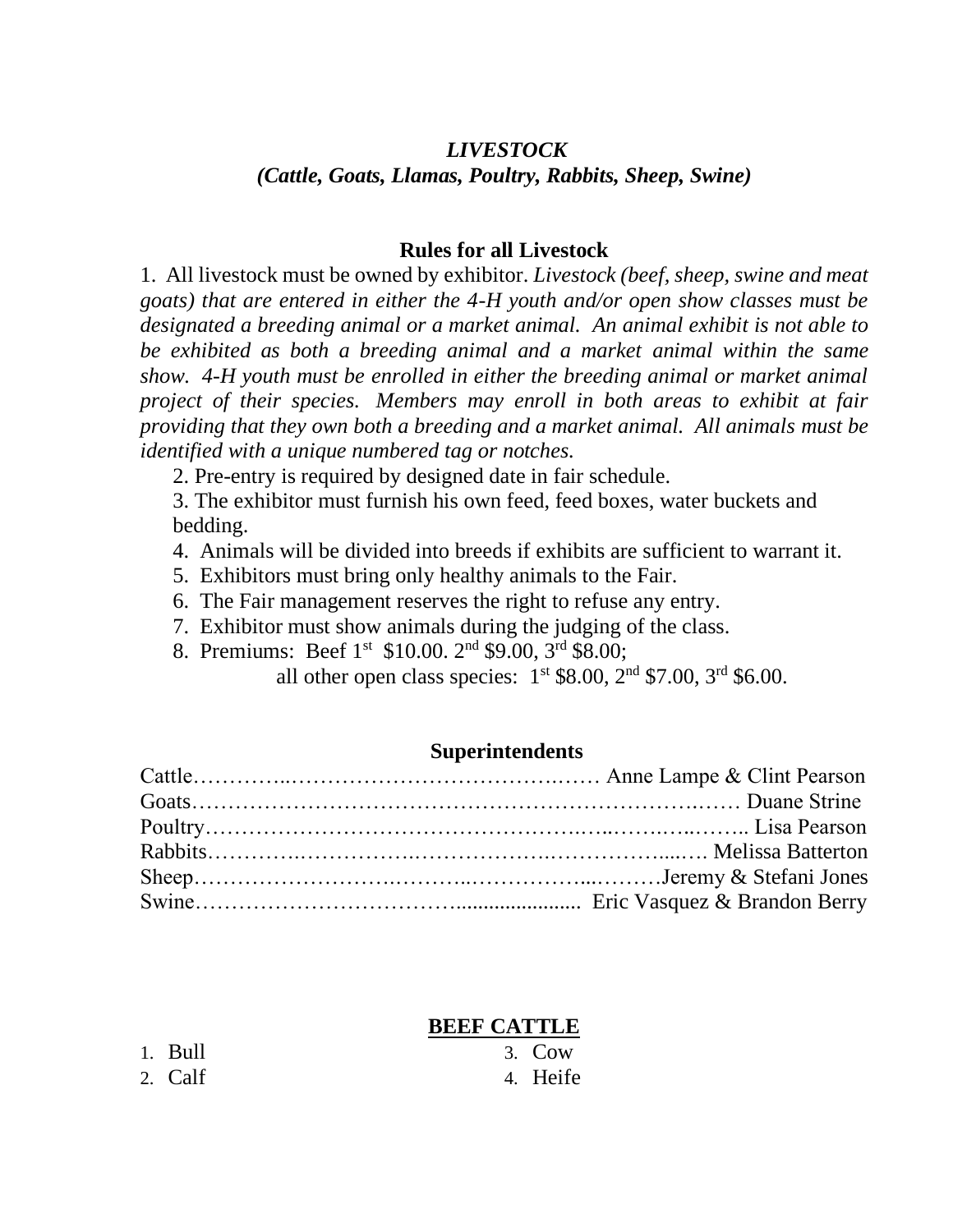#### *LIVESTOCK (Cattle, Goats, Llamas, Poultry, Rabbits, Sheep, Swine)*

#### **Rules for all Livestock**

1. All livestock must be owned by exhibitor. *Livestock (beef, sheep, swine and meat goats) that are entered in either the 4-H youth and/or open show classes must be designated a breeding animal or a market animal. An animal exhibit is not able to be exhibited as both a breeding animal and a market animal within the same show. 4-H youth must be enrolled in either the breeding animal or market animal project of their species. Members may enroll in both areas to exhibit at fair providing that they own both a breeding and a market animal. All animals must be identified with a unique numbered tag or notches.*

2. Pre-entry is required by designed date in fair schedule.

3. The exhibitor must furnish his own feed, feed boxes, water buckets and bedding.

- 4. Animals will be divided into breeds if exhibits are sufficient to warrant it.
- 5. Exhibitors must bring only healthy animals to the Fair.
- 6. The Fair management reserves the right to refuse any entry.
- 7. Exhibitor must show animals during the judging of the class.
- 8. Premiums: Beef 1st \$10.00. 2nd \$9.00, 3rd \$8.00;

all other open class species:  $1^{st}$  \$8.00,  $2^{nd}$  \$7.00,  $3^{rd}$  \$6.00.

#### **Superintendents**

#### **BEEF CATTLE**

| 1. Bull | $3. \text{Cow}$ |
|---------|-----------------|
| 2. Calf | 4. Heife        |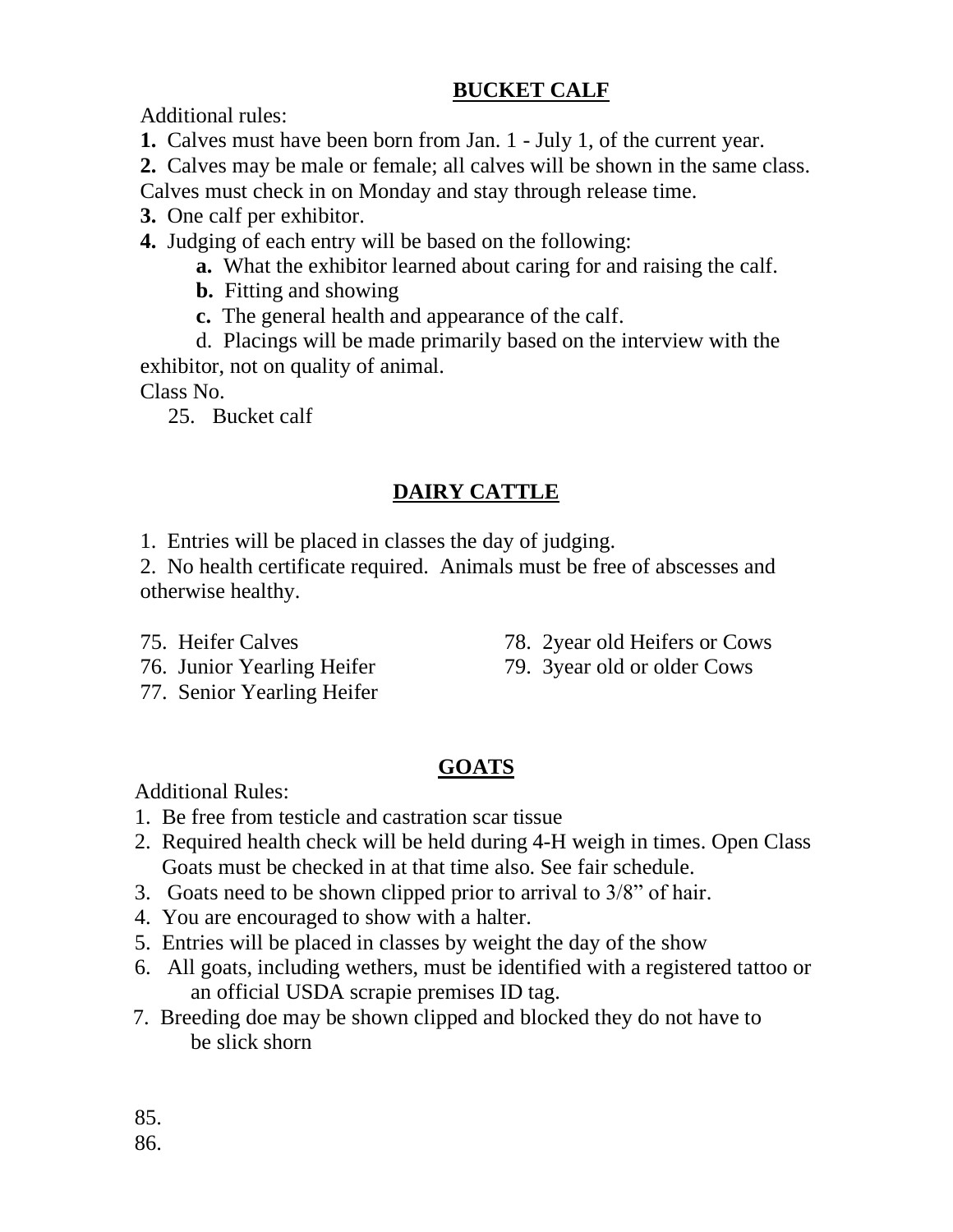#### **BUCKET CALF**

Additional rules:

**1.** Calves must have been born from Jan. 1 - July 1, of the current year.

**2.** Calves may be male or female; all calves will be shown in the same class. Calves must check in on Monday and stay through release time.

- **3.** One calf per exhibitor.
- **4.** Judging of each entry will be based on the following:
	- **a.** What the exhibitor learned about caring for and raising the calf.
	- **b.** Fitting and showing
	- **c.** The general health and appearance of the calf.

d. Placings will be made primarily based on the interview with the exhibitor, not on quality of animal.

Class No.

25. Bucket calf

#### **DAIRY CATTLE**

1. Entries will be placed in classes the day of judging.

2. No health certificate required. Animals must be free of abscesses and otherwise healthy.

- 75. Heifer Calves
- 76. Junior Yearling Heifer 77. Senior Yearling Heifer
- 78. 2year old Heifers or Cows
- 79. 3year old or older Cows

### **GOATS**

Additional Rules:

- 1. Be free from testicle and castration scar tissue
- 2. Required health check will be held during 4-H weigh in times. Open Class Goats must be checked in at that time also. See fair schedule.
- 3. Goats need to be shown clipped prior to arrival to 3/8" of hair.
- 4. You are encouraged to show with a halter.
- 5. Entries will be placed in classes by weight the day of the show
- 6. All goats, including wethers, must be identified with a registered tattoo or an official USDA scrapie premises ID tag.
- 7. Breeding doe may be shown clipped and blocked they do not have to be slick shorn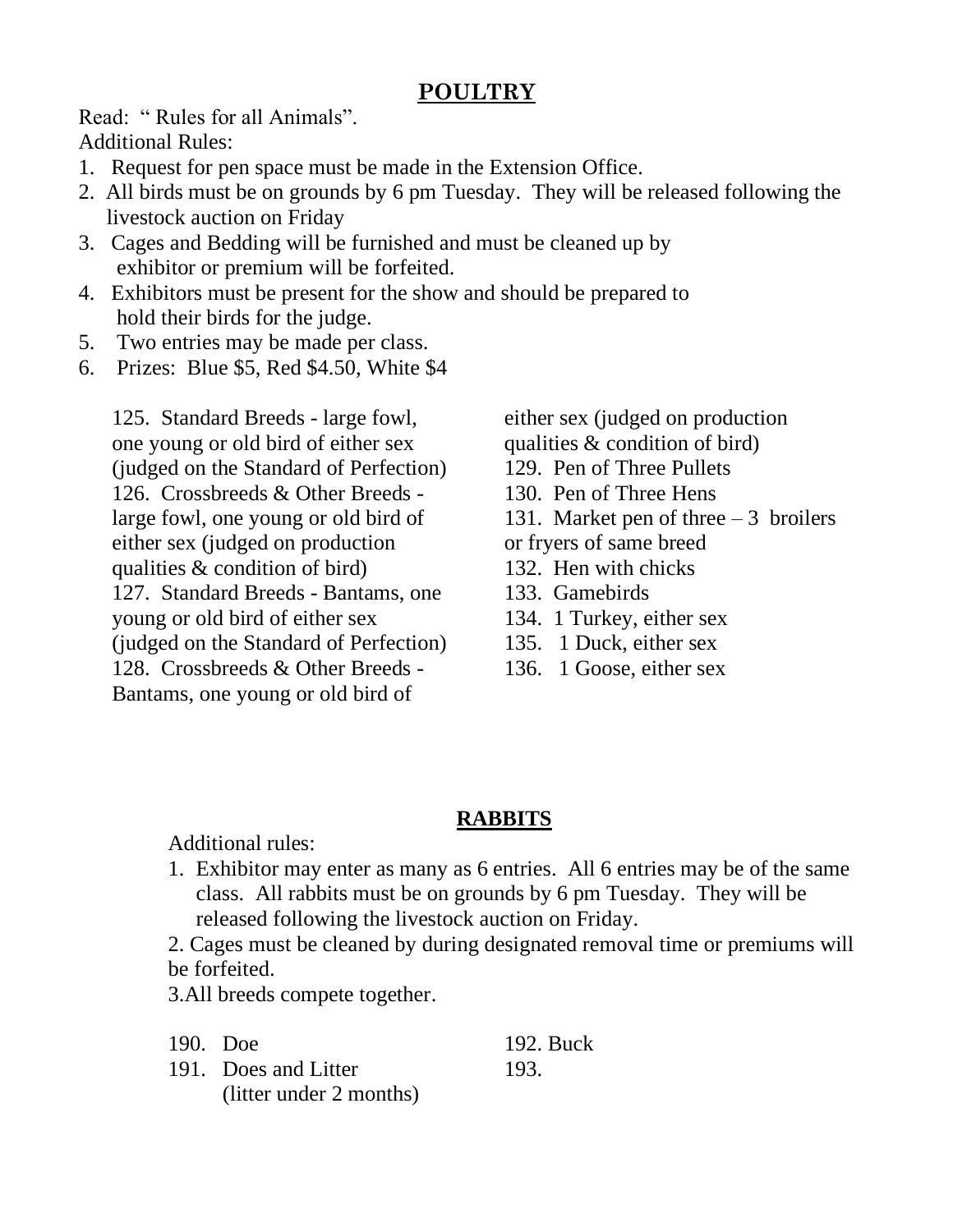#### **POULTRY**

Read: " Rules for all Animals". Additional Rules:

- 1. Request for pen space must be made in the Extension Office.
- 2. All birds must be on grounds by 6 pm Tuesday. They will be released following the livestock auction on Friday
- 3. Cages and Bedding will be furnished and must be cleaned up by exhibitor or premium will be forfeited.
- 4. Exhibitors must be present for the show and should be prepared to hold their birds for the judge.
- 5. Two entries may be made per class.
- 6. Prizes: Blue \$5, Red \$4.50, White \$4

125. Standard Breeds - large fowl, one young or old bird of either sex (judged on the Standard of Perfection) 126. Crossbreeds & Other Breeds large fowl, one young or old bird of either sex (judged on production qualities & condition of bird) 127. Standard Breeds - Bantams, one young or old bird of either sex (judged on the Standard of Perfection) 128. Crossbreeds & Other Breeds - Bantams, one young or old bird of

either sex (judged on production qualities & condition of bird) 129. Pen of Three Pullets 130. Pen of Three Hens 131. Market pen of three – 3 broilers or fryers of same breed 132. Hen with chicks

- 133. Gamebirds
- 134. 1 Turkey, either sex
- 135. 1 Duck, either sex
- 136. 1 Goose, either sex

#### **RABBITS**

Additional rules:

1. Exhibitor may enter as many as 6 entries. All 6 entries may be of the same class. All rabbits must be on grounds by 6 pm Tuesday. They will be released following the livestock auction on Friday.

2. Cages must be cleaned by during designated removal time or premiums will be forfeited.

3.All breeds compete together.

190. Doe 191. Does and Litter (litter under 2 months) 192. Buck 193.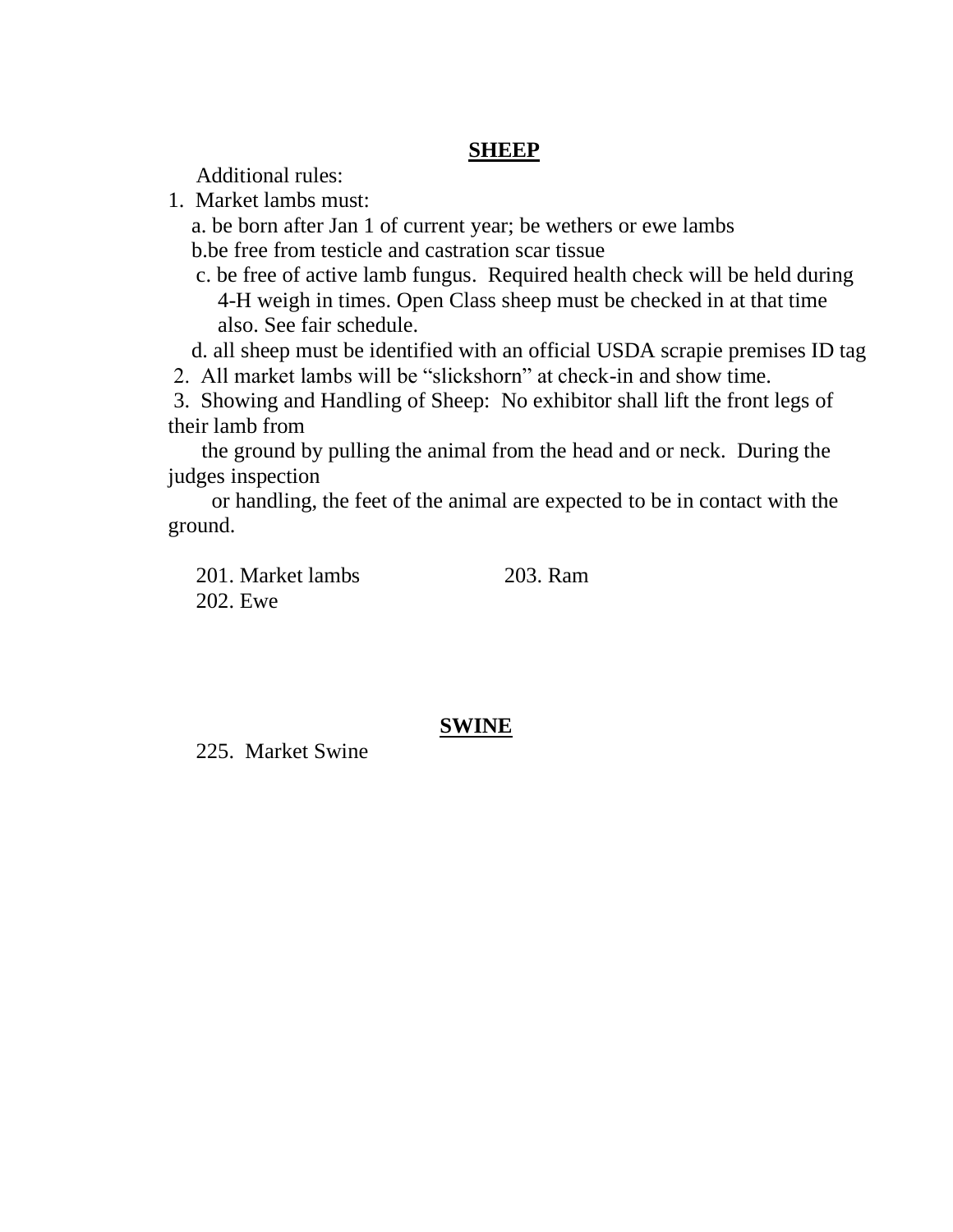#### **SHEEP**

Additional rules:

1. Market lambs must:

a. be born after Jan 1 of current year; be wethers or ewe lambs b.be free from testicle and castration scar tissue

c. be free of active lamb fungus. Required health check will be held during 4-H weigh in times. Open Class sheep must be checked in at that time also. See fair schedule.

d. all sheep must be identified with an official USDA scrapie premises ID tag

2. All market lambs will be "slickshorn" at check-in and show time.

3. Showing and Handling of Sheep: No exhibitor shall lift the front legs of their lamb from

the ground by pulling the animal from the head and or neck. During the judges inspection

 or handling, the feet of the animal are expected to be in contact with the ground.

201. Market lambs 202. Ewe 203. Ram

#### **SWINE**

225. Market Swine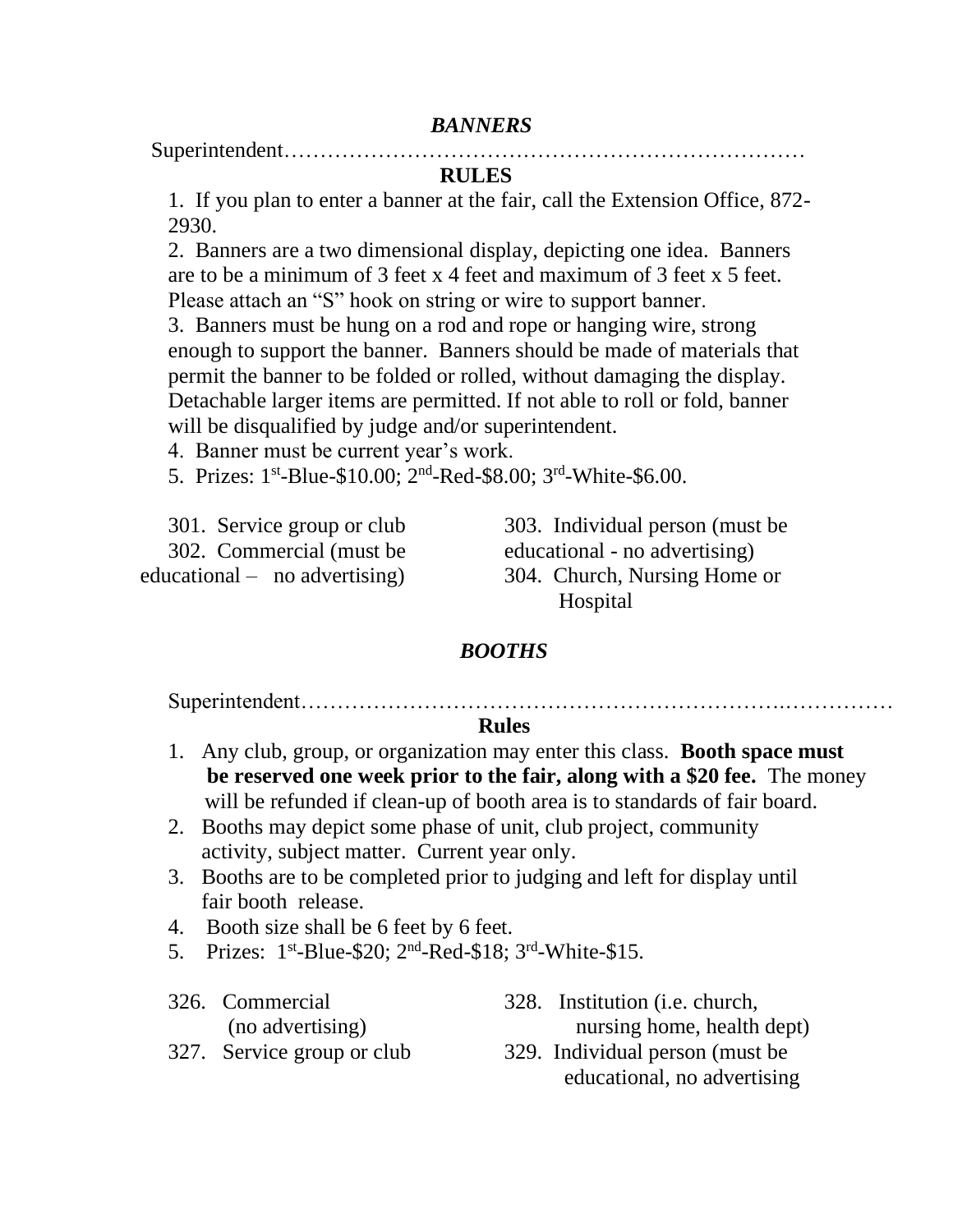#### *BANNERS*

Superintendent………………………………………………………………

#### **RULES**

1. If you plan to enter a banner at the fair, call the Extension Office, 872- 2930.

2. Banners are a two dimensional display, depicting one idea. Banners are to be a minimum of 3 feet x 4 feet and maximum of 3 feet x 5 feet. Please attach an "S" hook on string or wire to support banner.

3. Banners must be hung on a rod and rope or hanging wire, strong enough to support the banner. Banners should be made of materials that permit the banner to be folded or rolled, without damaging the display. Detachable larger items are permitted. If not able to roll or fold, banner will be disqualified by judge and/or superintendent.

4. Banner must be current year's work.

5. Prizes: 1<sup>st</sup>-Blue-\$10.00; 2<sup>nd</sup>-Red-\$8.00; 3<sup>rd</sup>-White-\$6.00.

| 301. Service group or club      |
|---------------------------------|
| 302. Commercial (must be        |
| educational $-$ no advertising) |

303. Individual person (must be educational - no advertising) 304. Church, Nursing Home or Hospital

#### *BOOTHS*

Superintendent………………………………………………………….……………

#### **Rules**

- 1. Any club, group, or organization may enter this class. **Booth space must be reserved one week prior to the fair, along with a \$20 fee.** The money will be refunded if clean-up of booth area is to standards of fair board.
- 2. Booths may depict some phase of unit, club project, community activity, subject matter. Current year only.
- 3. Booths are to be completed prior to judging and left for display until fair booth release.
- 4. Booth size shall be 6 feet by 6 feet.
- 5. Prizes: 1<sup>st</sup>-Blue-\$20; 2<sup>nd</sup>-Red-\$18; 3<sup>rd</sup>-White-\$15.
- 326. Commercial (no advertising)
- 328. Institution (i.e. church, nursing home, health dept)
- 327. Service group or club
- 329. Individual person (must be educational, no advertising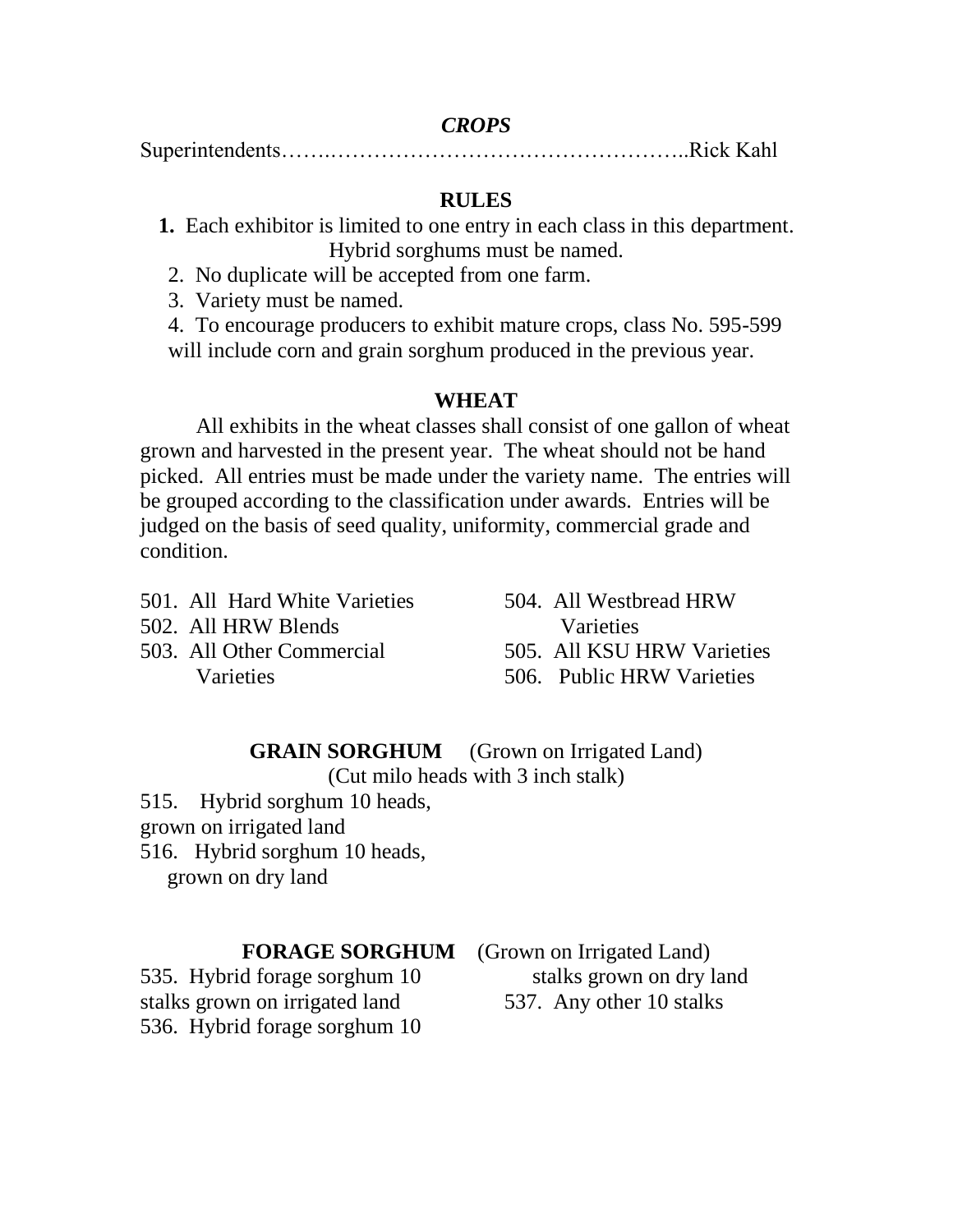#### *CROPS*

Superintendents…….…………………………………………..Rick Kahl

#### **RULES**

- **1.** Each exhibitor is limited to one entry in each class in this department. Hybrid sorghums must be named.
- 2. No duplicate will be accepted from one farm.

3. Variety must be named.

4. To encourage producers to exhibit mature crops, class No. 595-599 will include corn and grain sorghum produced in the previous year.

#### **WHEAT**

All exhibits in the wheat classes shall consist of one gallon of wheat grown and harvested in the present year. The wheat should not be hand picked. All entries must be made under the variety name. The entries will be grouped according to the classification under awards. Entries will be judged on the basis of seed quality, uniformity, commercial grade and condition.

- 501. All Hard White Varieties
- 502. All HRW Blends
- 503. All Other Commercial **Varieties**

504. All Westbread HRW **Varieties** 505. All KSU HRW Varieties 506. Public HRW Varieties

**GRAIN SORGHUM** (Grown on Irrigated Land) (Cut milo heads with 3 inch stalk)

515. Hybrid sorghum 10 heads,

grown on irrigated land

516. Hybrid sorghum 10 heads, grown on dry land

535. Hybrid forage sorghum 10 stalks grown on irrigated land 536. Hybrid forage sorghum 10

**FORAGE SORGHUM** (Grown on Irrigated Land) stalks grown on dry land 537. Any other 10 stalks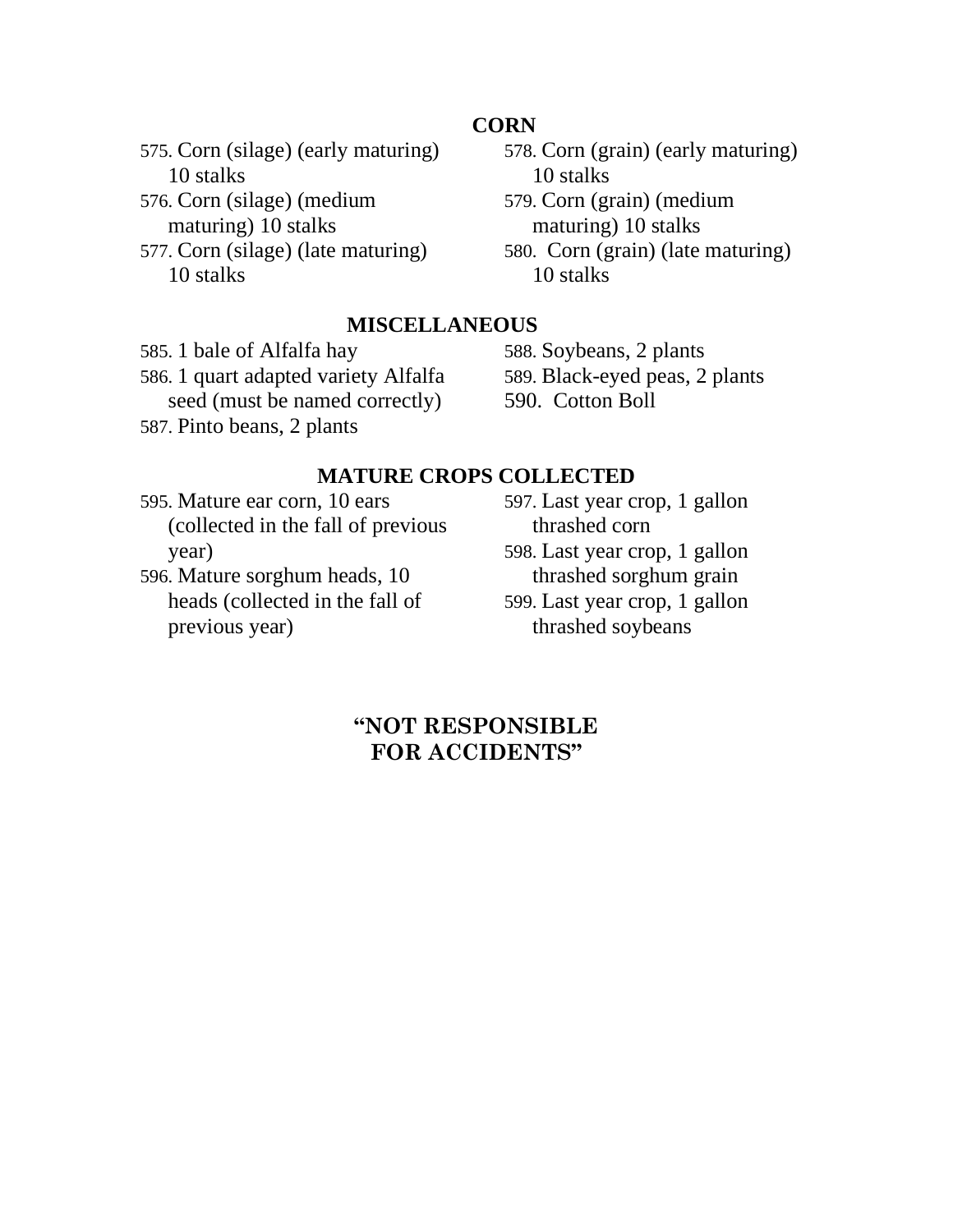#### **CORN**

575. Corn (silage) (early maturing) 10 stalks

- 576. Corn (silage) (medium maturing) 10 stalks
- 577. Corn (silage) (late maturing) 10 stalks
- 578. Corn (grain) (early maturing) 10 stalks
- 579. Corn (grain) (medium maturing) 10 stalks
- 580. Corn (grain) (late maturing) 10 stalks

#### **MISCELLANEOUS**

585. 1 bale of Alfalfa hay 586. 1 quart adapted variety Alfalfa seed (must be named correctly) 587. Pinto beans, 2 plants

588. Soybeans, 2 plants 589. Black-eyed peas, 2 plants 590. Cotton Boll

#### **MATURE CROPS COLLECTED**

595. Mature ear corn, 10 ears (collected in the fall of previous year)

596. Mature sorghum heads, 10 heads (collected in the fall of previous year)

597. Last year crop, 1 gallon thrashed corn 598. Last year crop, 1 gallon

thrashed sorghum grain 599. Last year crop, 1 gallon thrashed soybeans

#### **"NOT RESPONSIBLE FOR ACCIDENTS"**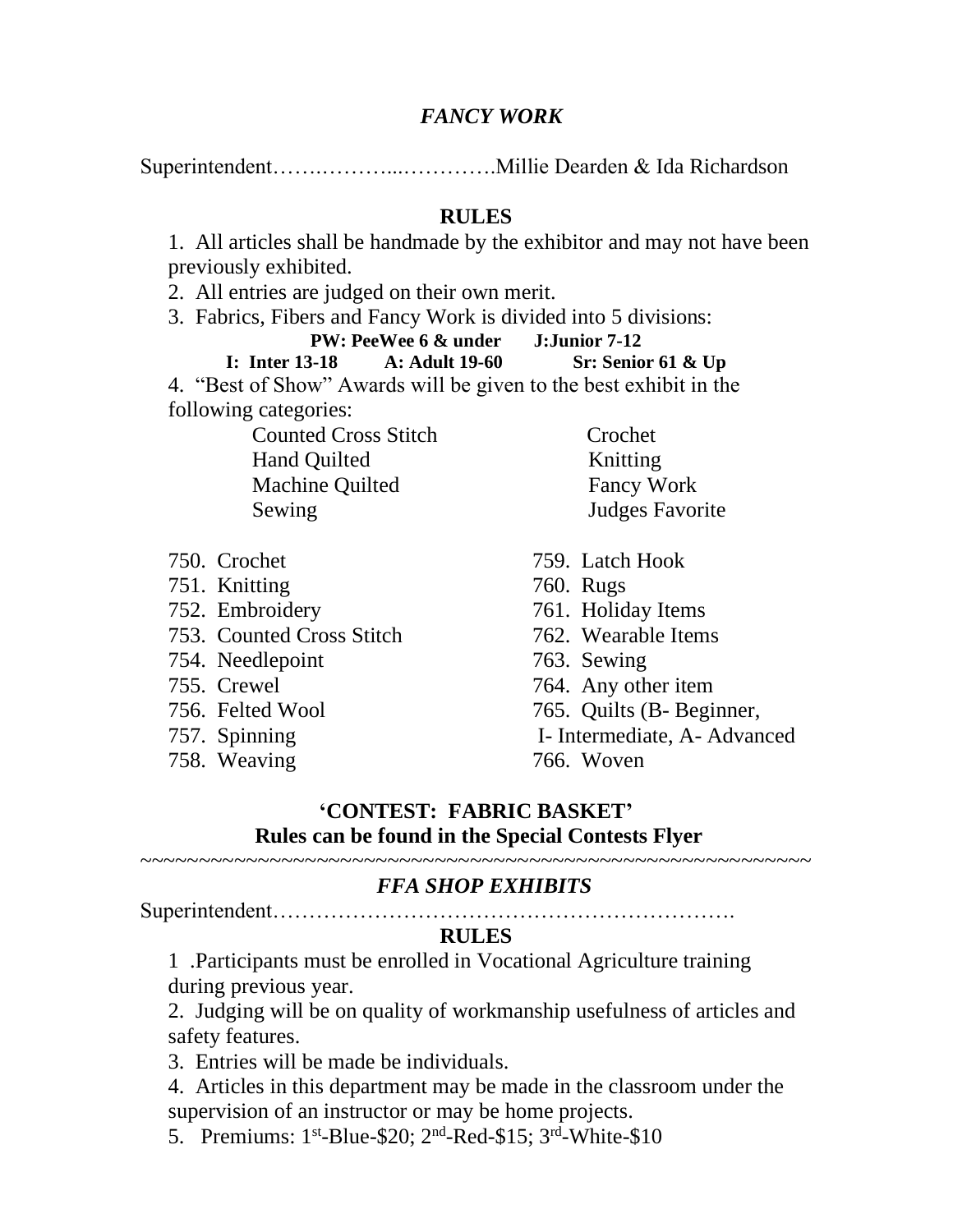#### *FANCY WORK*

Superintendent…….………...………….Millie Dearden & Ida Richardson

#### **RULES**

1. All articles shall be handmade by the exhibitor and may not have been previously exhibited.

2. All entries are judged on their own merit.

3. Fabrics, Fibers and Fancy Work is divided into 5 divisions:

| PW: PeeWee 6 & under                                              |  | <b>J:Junior 7-12</b> |  |
|-------------------------------------------------------------------|--|----------------------|--|
| I: Inter $13-18$ A: Adult $19-60$                                 |  | Sr: Senior 61 $&$ Up |  |
| 4. "Best of Show" Awards will be given to the best exhibit in the |  |                      |  |
| following categories:                                             |  |                      |  |
| <b>Counted Cross Stitch</b>                                       |  | Crochet              |  |

Hand Quilted Knitting Machine Quilted Fancy Work Sewing Judges Favorite

- 750. Crochet
- 751. Knitting
- 752. Embroidery
- 753. Counted Cross Stitch
- 754. Needlepoint
- 755. Crewel
- 756. Felted Wool
- 757. Spinning
- 758. Weaving
- 
- 759. Latch Hook
- 760. Rugs
- 761. Holiday Items
- 762. Wearable Items
- 763. Sewing
- 764. Any other item
- 765. Quilts (B- Beginner,
- I- Intermediate, A- Advanced
- 766. Woven

#### **'CONTEST: FABRIC BASKET' Rules can be found in the Special Contests Flyer**

#### ~~~~~~~~~~~~~~~~~~~~~~~~~~~~~~~~~~~~~~~~~~~~~~~~~~~~~~~~~  *FFA SHOP EXHIBITS*

Superintendent……………………………………………………….

#### **RULES**

1 .Participants must be enrolled in Vocational Agriculture training during previous year.

2. Judging will be on quality of workmanship usefulness of articles and safety features.

3. Entries will be made be individuals.

- 4. Articles in this department may be made in the classroom under the supervision of an instructor or may be home projects.
- 5. Premiums:  $1^{st}$ -Blue-\$20;  $2^{nd}$ -Red-\$15;  $3^{rd}$ -White-\$10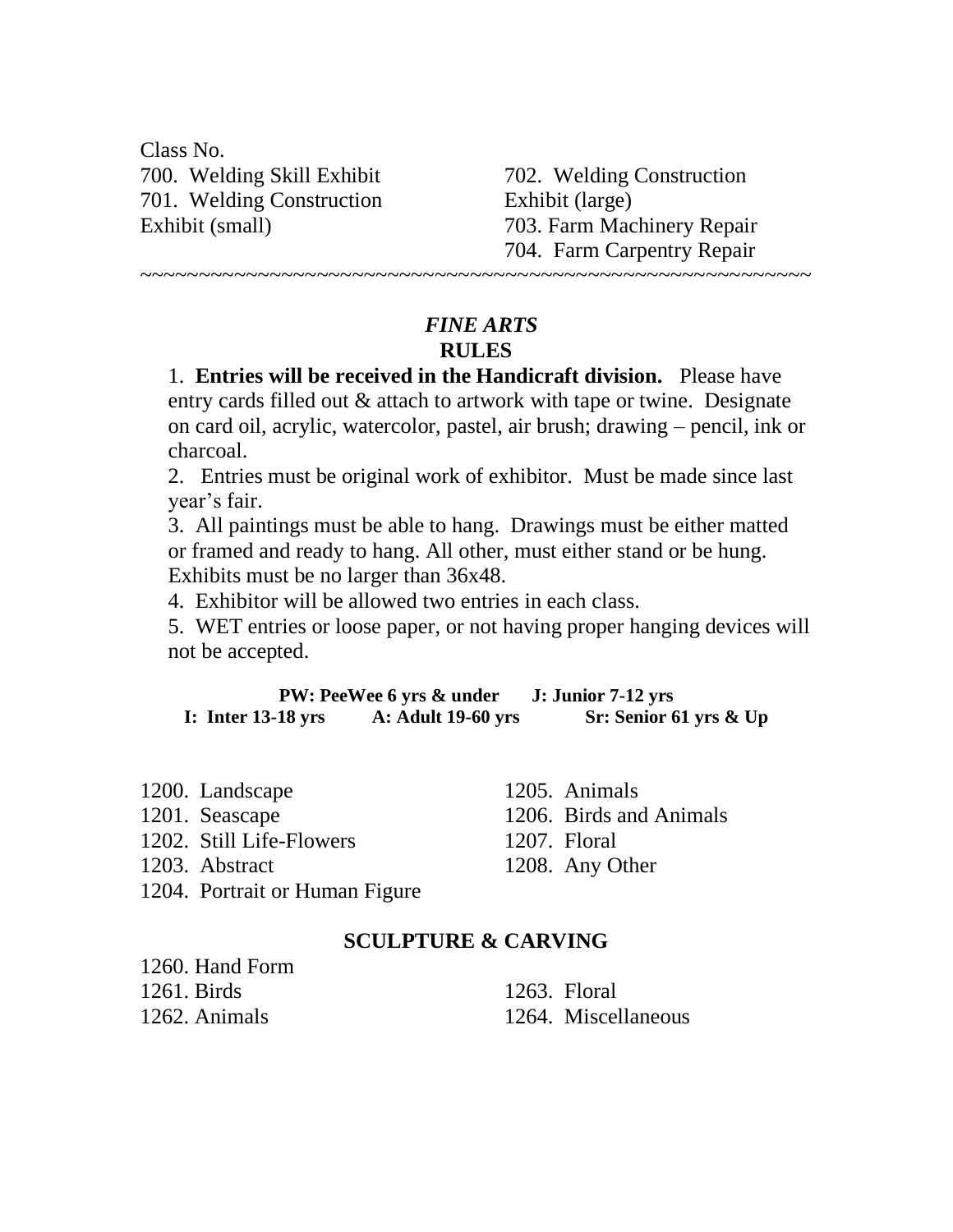Class No. 700. Welding Skill Exhibit 701. Welding Construction Exhibit (small)

 $1260$  Hand Form

702. Welding Construction Exhibit (large) 703. Farm Machinery Repair 704. Farm Carpentry Repair ~~~~~~~~~~~~~~~~~~~~~~~~~~~~~~~~~~~~~~~~~~~~~~~~~~~~~~~~~

#### *FINE ARTS* **RULES**

1. **Entries will be received in the Handicraft division.** Please have entry cards filled out & attach to artwork with tape or twine. Designate on card oil, acrylic, watercolor, pastel, air brush; drawing – pencil, ink or charcoal.

2. Entries must be original work of exhibitor. Must be made since last year's fair.

3. All paintings must be able to hang. Drawings must be either matted or framed and ready to hang. All other, must either stand or be hung. Exhibits must be no larger than 36x48.

4. Exhibitor will be allowed two entries in each class.

5. WET entries or loose paper, or not having proper hanging devices will not be accepted.

**PW: PeeWee 6 yrs & under J: Junior 7-12 yrs I: Inter 13-18 yrs A: Adult 19-60 yrs Sr: Senior 61 yrs & Up**

| 1200. Landscape                | 1205. Animals           |
|--------------------------------|-------------------------|
| 1201. Seascape                 | 1206. Birds and Animals |
| 1202. Still Life-Flowers       | 1207. Floral            |
| 1203. Abstract                 | 1208. Any Other         |
| 1204. Portrait or Human Figure |                         |

#### **SCULPTURE & CARVING**

| 1200. fiaild Foille |                     |
|---------------------|---------------------|
| $1261.$ Birds       | $1263.$ Floral      |
| 1262. Animals       | 1264. Miscellaneous |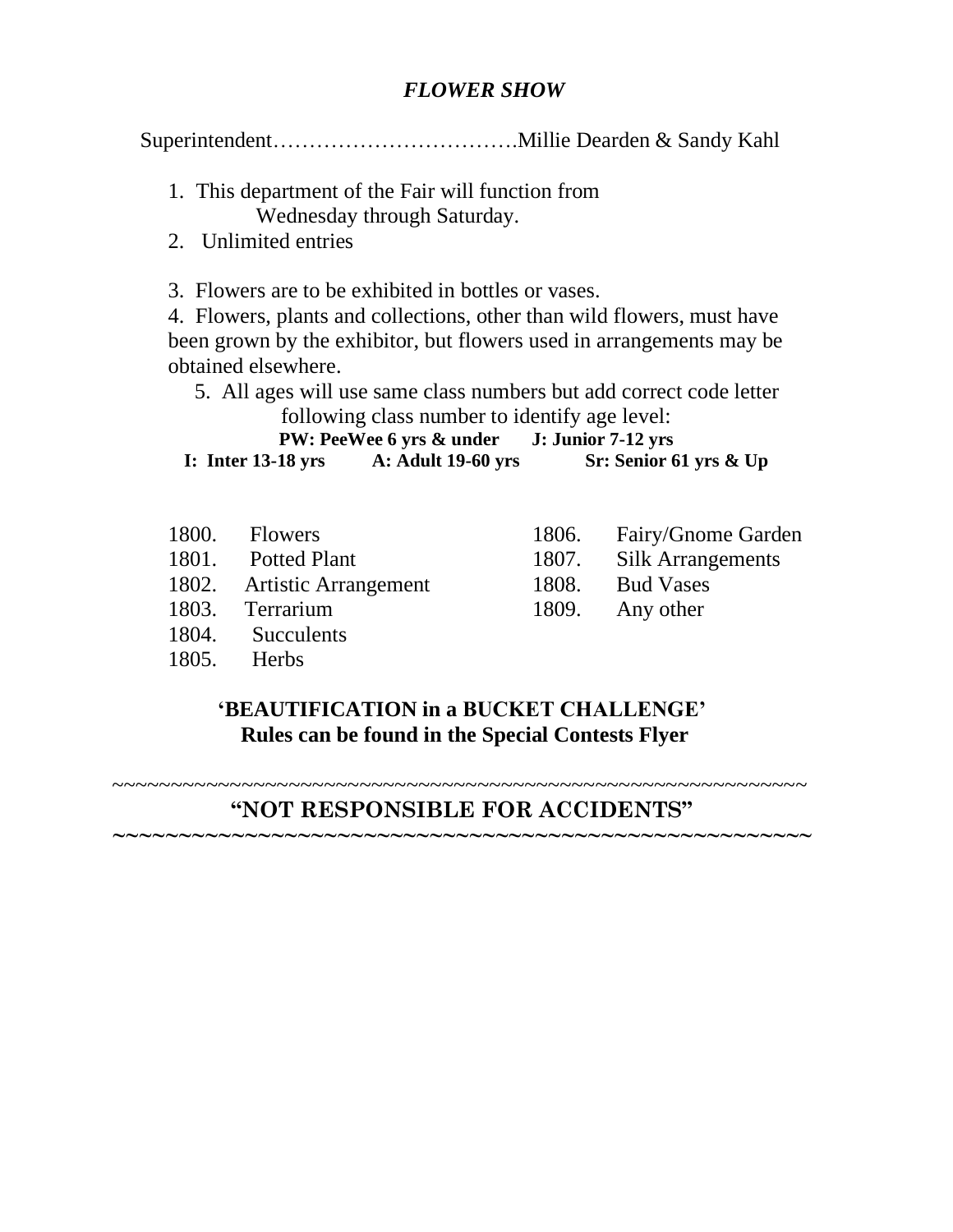#### *FLOWER SHOW*

Superintendent…………………………….Millie Dearden & Sandy Kahl

- 1. This department of the Fair will function from Wednesday through Saturday.
- 2. Unlimited entries

3. Flowers are to be exhibited in bottles or vases.

4. Flowers, plants and collections, other than wild flowers, must have been grown by the exhibitor, but flowers used in arrangements may be obtained elsewhere.

 5. All ages will use same class numbers but add correct code letter following class number to identify age level:

**PW: PeeWee 6 yrs & under J: Junior 7-12 yrs**

**I: Inter 13-18 yrs A: Adult 19-60 yrs Sr: Senior 61 yrs & Up**

- 1800. Flowers
- 1801. Potted Plant
- 1802. Artistic Arrangement
- 1803. Terrarium
- 1804. Succulents
- 1805. Herbs
- 1806. Fairy/Gnome Garden
- 1807. Silk Arrangements
- 1808. Bud Vases
- 1809. Any other

#### **'BEAUTIFICATION in a BUCKET CHALLENGE' Rules can be found in the Special Contests Flyer**

~~~~~~~~~~~~~~~~~~~~~~~~~~~~~~~~~~~~~~~~~~~~~~~~~~~~~~~~~~~ **"NOT RESPONSIBLE FOR ACCIDENTS"**

**~~~~~~~~~~~~~~~~~~~~~~~~~~~~~~~~~~~~~~~~~~~~~~~~~~~~~**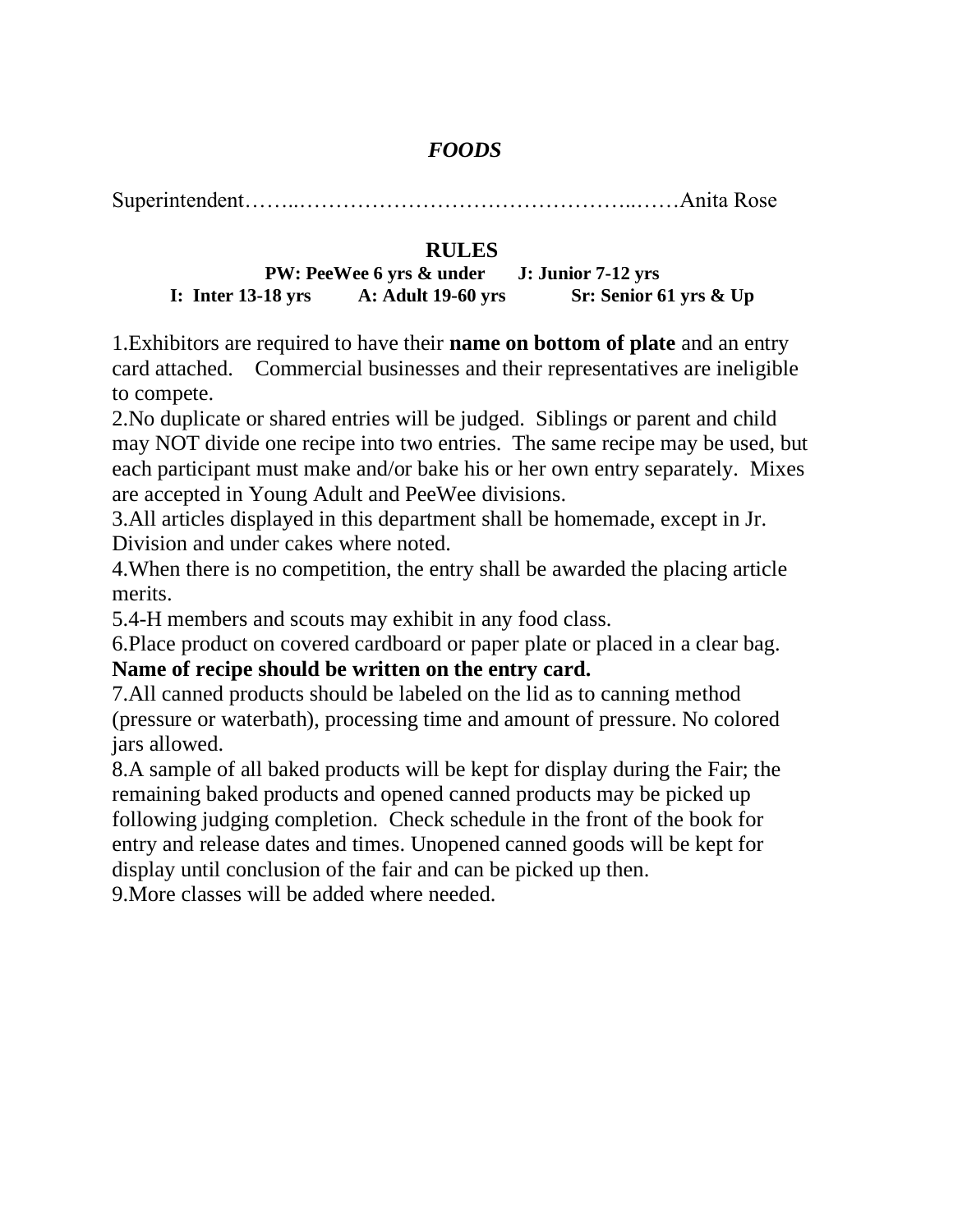#### *FOODS*

Superintendent……..………………………………………..……Anita Rose

#### **RULES**

**PW: PeeWee 6 yrs & under J: Junior 7-12 yrs I: Inter 13-18 yrs A: Adult 19-60 yrs Sr: Senior 61 yrs & Up**

1.Exhibitors are required to have their **name on bottom of plate** and an entry card attached. Commercial businesses and their representatives are ineligible to compete.

2.No duplicate or shared entries will be judged. Siblings or parent and child may NOT divide one recipe into two entries. The same recipe may be used, but each participant must make and/or bake his or her own entry separately. Mixes are accepted in Young Adult and PeeWee divisions.

3.All articles displayed in this department shall be homemade, except in Jr. Division and under cakes where noted.

4.When there is no competition, the entry shall be awarded the placing article merits.

5.4-H members and scouts may exhibit in any food class.

6.Place product on covered cardboard or paper plate or placed in a clear bag. **Name of recipe should be written on the entry card.**

7.All canned products should be labeled on the lid as to canning method (pressure or waterbath), processing time and amount of pressure. No colored jars allowed.

8.A sample of all baked products will be kept for display during the Fair; the remaining baked products and opened canned products may be picked up following judging completion. Check schedule in the front of the book for entry and release dates and times. Unopened canned goods will be kept for display until conclusion of the fair and can be picked up then.

9.More classes will be added where needed.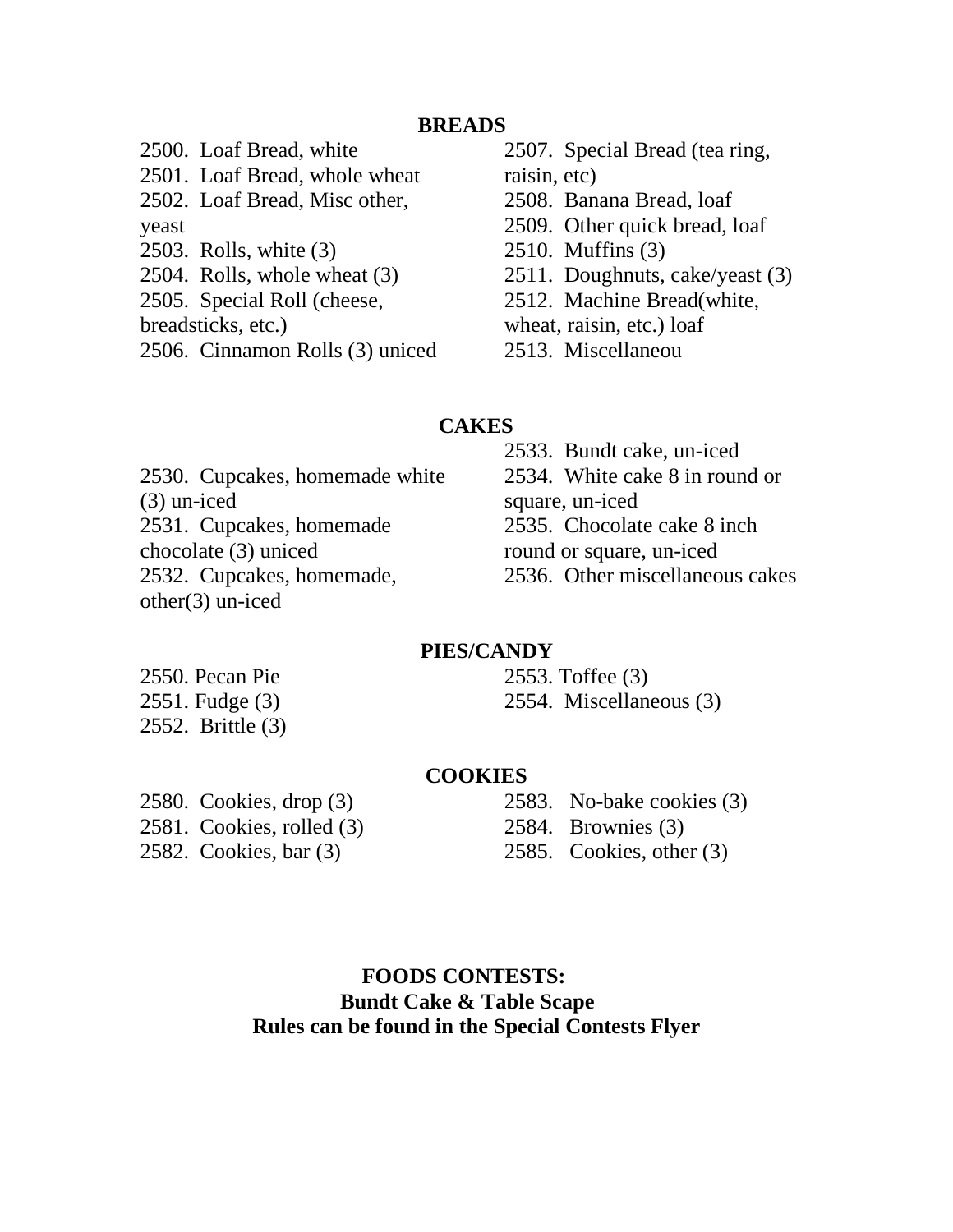#### **BREADS**

2500. Loaf Bread, white 2501. Loaf Bread, whole wheat 2502. Loaf Bread, Misc other, yeast 2503. Rolls, white (3) 2504. Rolls, whole wheat (3) 2505. Special Roll (cheese, breadsticks, etc.) 2506. Cinnamon Rolls (3) uniced

2507. Special Bread (tea ring, raisin, etc) 2508. Banana Bread, loaf 2509. Other quick bread, loaf 2510. Muffins (3) 2511. Doughnuts, cake/yeast (3) 2512. Machine Bread(white, wheat, raisin, etc.) loaf 2513. Miscellaneou

#### **CAKES**

2530. Cupcakes, homemade white (3) un-iced 2531. Cupcakes, homemade chocolate (3) uniced 2532. Cupcakes, homemade, other(3) un-iced

2533. Bundt cake, un-iced 2534. White cake 8 in round or square, un-iced 2535. Chocolate cake 8 inch round or square, un-iced 2536. Other miscellaneous cakes

#### **PIES/CANDY**

2550. Pecan Pie 2551. Fudge (3) 2552. Brittle (3)

2553. Toffee (3) 2554. Miscellaneous (3)

#### **COOKIES**

2580. Cookies, drop (3) 2581. Cookies, rolled (3) 2582. Cookies, bar (3)

2583. No-bake cookies (3) 2584. Brownies (3) 2585. Cookies, other (3)

 **FOODS CONTESTS: Bundt Cake & Table Scape Rules can be found in the Special Contests Flyer**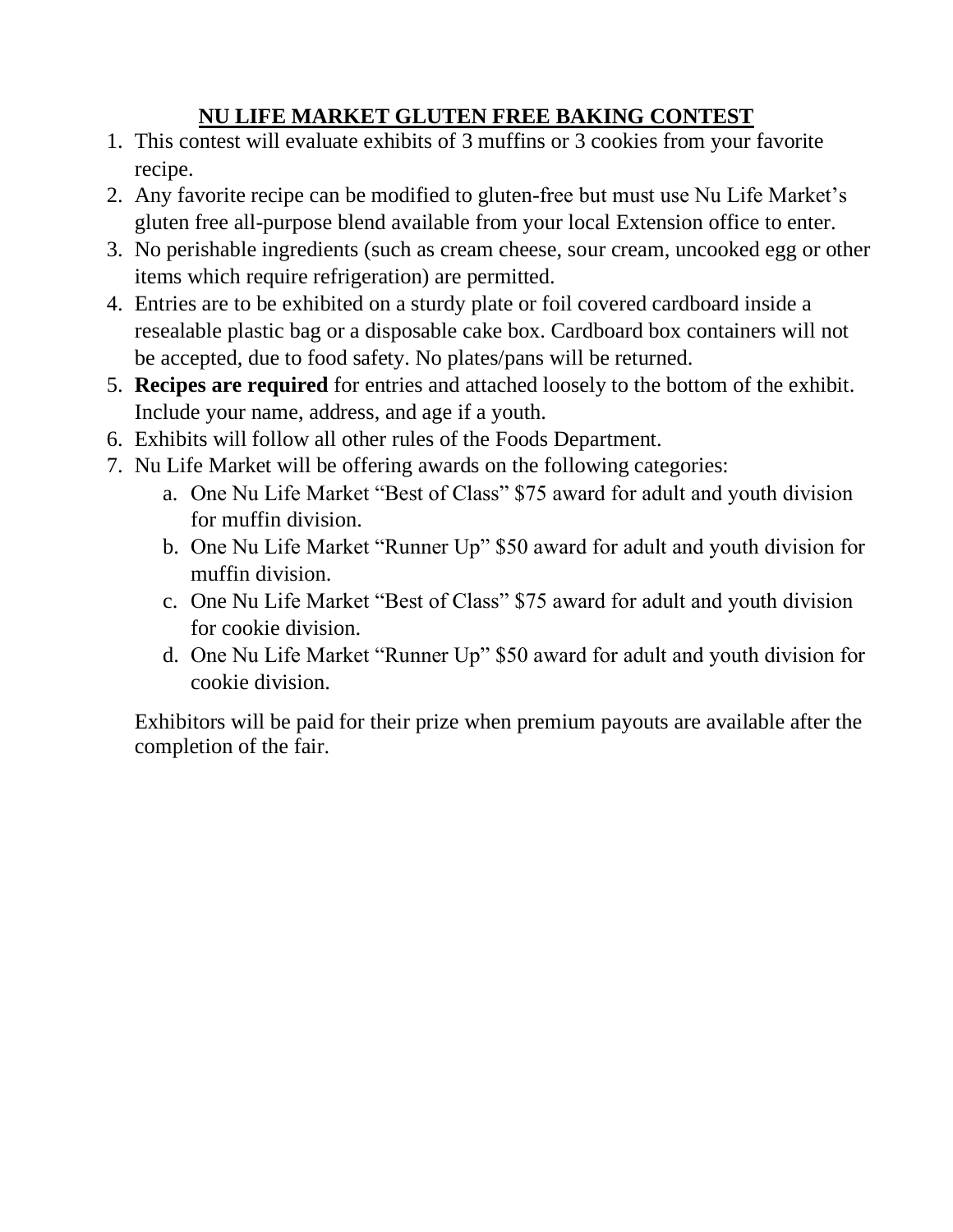#### **NU LIFE MARKET GLUTEN FREE BAKING CONTEST**

- 1. This contest will evaluate exhibits of 3 muffins or 3 cookies from your favorite recipe.
- 2. Any favorite recipe can be modified to gluten-free but must use Nu Life Market's gluten free all-purpose blend available from your local Extension office to enter.
- 3. No perishable ingredients (such as cream cheese, sour cream, uncooked egg or other items which require refrigeration) are permitted.
- 4. Entries are to be exhibited on a sturdy plate or foil covered cardboard inside a resealable plastic bag or a disposable cake box. Cardboard box containers will not be accepted, due to food safety. No plates/pans will be returned.
- 5. **Recipes are required** for entries and attached loosely to the bottom of the exhibit. Include your name, address, and age if a youth.
- 6. Exhibits will follow all other rules of the Foods Department.
- 7. Nu Life Market will be offering awards on the following categories:
	- a. One Nu Life Market "Best of Class" \$75 award for adult and youth division for muffin division.
	- b. One Nu Life Market "Runner Up" \$50 award for adult and youth division for muffin division.
	- c. One Nu Life Market "Best of Class" \$75 award for adult and youth division for cookie division.
	- d. One Nu Life Market "Runner Up" \$50 award for adult and youth division for cookie division.

Exhibitors will be paid for their prize when premium payouts are available after the completion of the fair.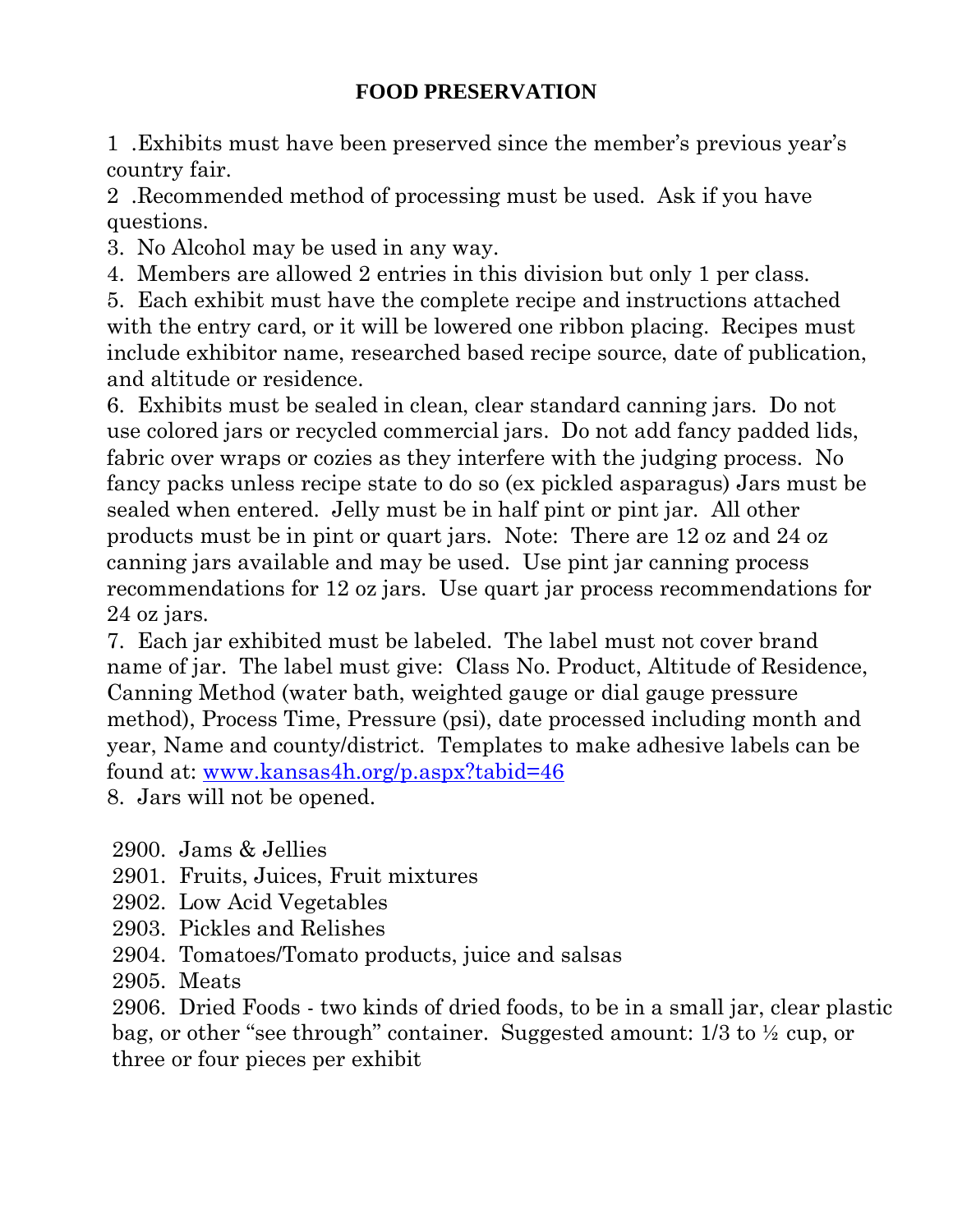#### **FOOD PRESERVATION**

1 .Exhibits must have been preserved since the member's previous year's country fair.

2 .Recommended method of processing must be used. Ask if you have questions.

3. No Alcohol may be used in any way.

4. Members are allowed 2 entries in this division but only 1 per class.

5. Each exhibit must have the complete recipe and instructions attached with the entry card, or it will be lowered one ribbon placing. Recipes must include exhibitor name, researched based recipe source, date of publication, and altitude or residence.

6. Exhibits must be sealed in clean, clear standard canning jars. Do not use colored jars or recycled commercial jars. Do not add fancy padded lids, fabric over wraps or cozies as they interfere with the judging process. No fancy packs unless recipe state to do so (ex pickled asparagus) Jars must be sealed when entered. Jelly must be in half pint or pint jar. All other products must be in pint or quart jars. Note: There are 12 oz and 24 oz canning jars available and may be used. Use pint jar canning process recommendations for 12 oz jars. Use quart jar process recommendations for 24 oz jars.

7. Each jar exhibited must be labeled. The label must not cover brand name of jar. The label must give: Class No. Product, Altitude of Residence, Canning Method (water bath, weighted gauge or dial gauge pressure method), Process Time, Pressure (psi), date processed including month and year, Name and county/district. Templates to make adhesive labels can be found at: [www.kansas4h.org/p.aspx?tabid=46](http://www.kansas4h.org/p.aspx?tabid=46) 8. Jars will not be opened.

2900. Jams & Jellies

2901. Fruits, Juices, Fruit mixtures

2902. Low Acid Vegetables

- 2903. Pickles and Relishes
- 2904. Tomatoes/Tomato products, juice and salsas

2905. Meats

2906. Dried Foods - two kinds of dried foods, to be in a small jar, clear plastic bag, or other "see through" container. Suggested amount: 1/3 to ½ cup, or three or four pieces per exhibit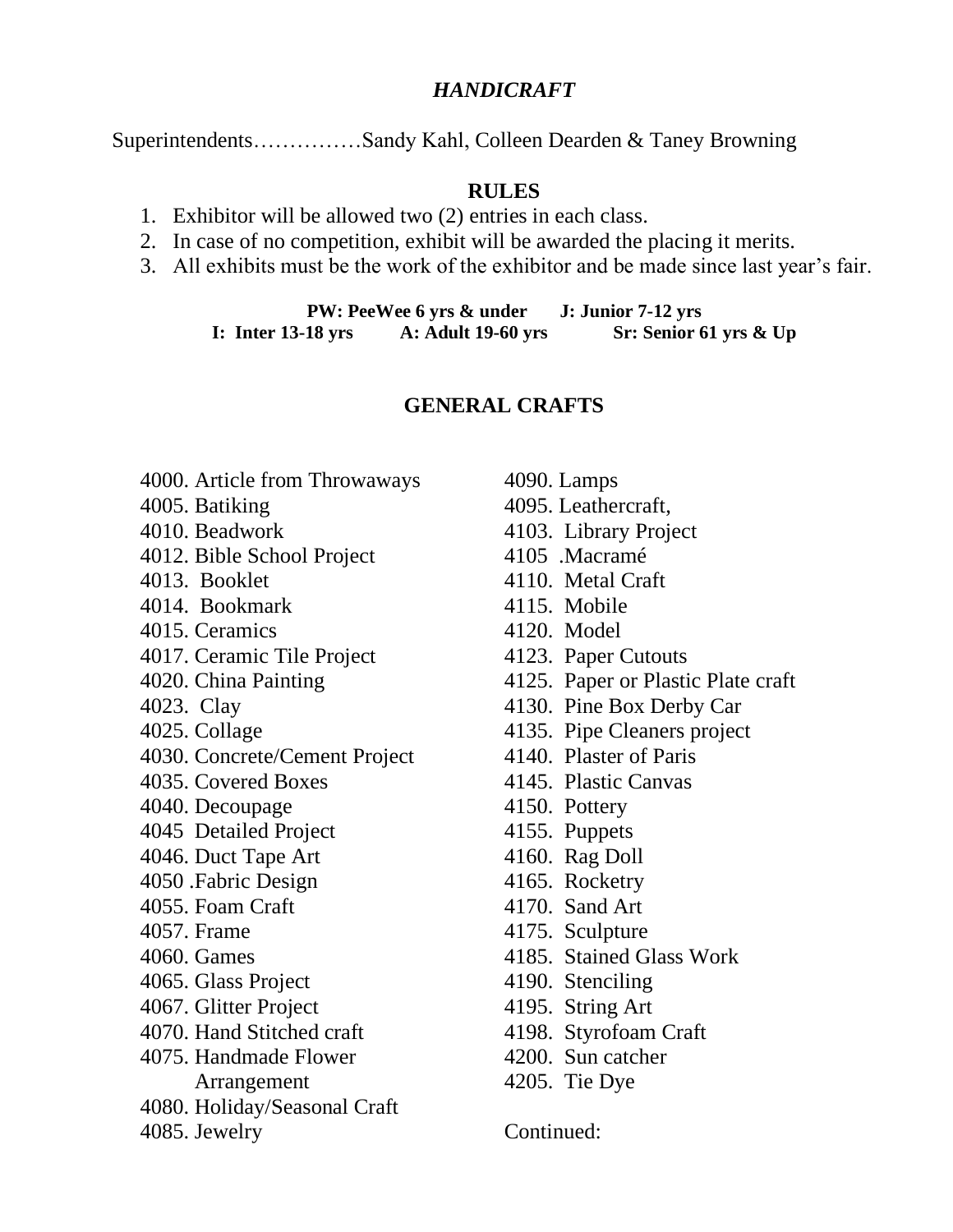#### *HANDICRAFT*

Superintendents……………Sandy Kahl, Colleen Dearden & Taney Browning

#### **RULES**

- 1. Exhibitor will be allowed two (2) entries in each class.
- 2. In case of no competition, exhibit will be awarded the placing it merits.
- 3. All exhibits must be the work of the exhibitor and be made since last year's fair.

**PW: PeeWee 6 yrs & under J: Junior 7-12 yrs I: Inter 13-18 yrs A: Adult 19-60 yrs Sr: Senior 61 yrs & Up**

#### **GENERAL CRAFTS**

- 4000. Article from Throwaways
- 4005. Batiking
- 4010. Beadwork
- 4012. Bible School Project
- 4013. Booklet
- 4014. Bookmark
- 4015. Ceramics
- 4017. Ceramic Tile Project
- 4020. China Painting
- 4023. Clay
- 4025. Collage
- 4030. Concrete/Cement Project
- 4035. Covered Boxes
- 4040. Decoupage
- 4045 Detailed Project
- 4046. Duct Tape Art
- 4050 .Fabric Design
- 4055. Foam Craft
- 4057. Frame
- 4060. Games
- 4065. Glass Project
- 4067. Glitter Project
- 4070. Hand Stitched craft
- 4075. Handmade Flower Arrangement
- 4080. Holiday/Seasonal Craft
- 4085. Jewelry
- 4090. Lamps 4095. Leathercraft, 4103. Library Project 4105 .Macramé 4110. Metal Craft 4115. Mobile 4120. Model 4123. Paper Cutouts 4125. Paper or Plastic Plate craft 4130. Pine Box Derby Car 4135. Pipe Cleaners project 4140. Plaster of Paris 4145. Plastic Canvas 4150. Pottery 4155. Puppets 4160. Rag Doll 4165. Rocketry 4170. Sand Art 4175. Sculpture 4185. Stained Glass Work 4190. Stenciling 4195. String Art 4198. Styrofoam Craft 4200. Sun catcher
- 4205. Tie Dye

Continued: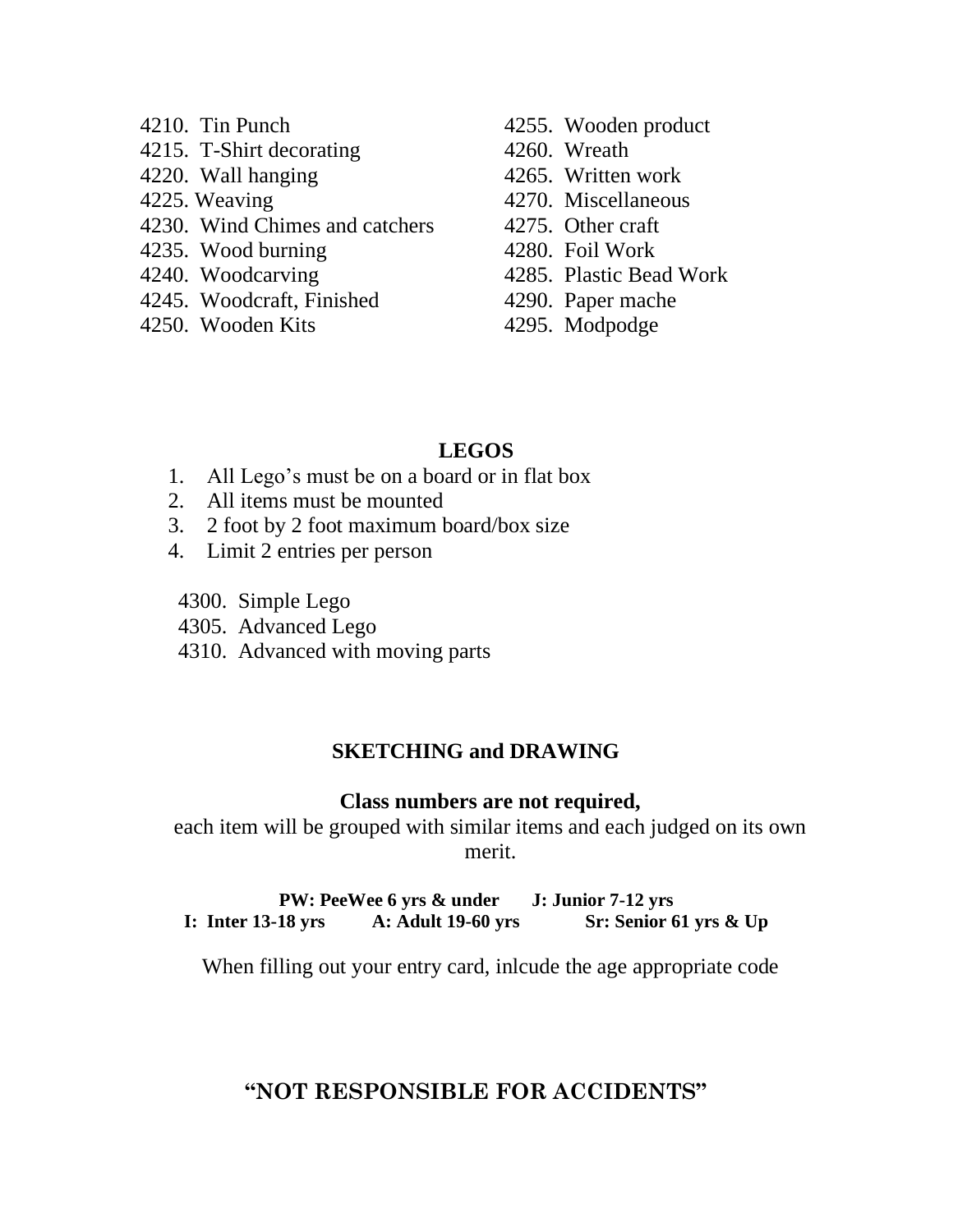- 4210. Tin Punch
- 4215. T-Shirt decorating
- 4220. Wall hanging
- 4225. Weaving
- 4230. Wind Chimes and catchers
- 4235. Wood burning
- 4240. Woodcarving
- 4245. Woodcraft, Finished
- 4250. Wooden Kits
- 4255. Wooden product
- 4260. Wreath
- 4265. Written work
- 4270. Miscellaneous
- 4275. Other craft
- 4280. Foil Work
- 4285. Plastic Bead Work
- 4290. Paper mache
- 4295. Modpodge

#### **LEGOS**

- 1. All Lego's must be on a board or in flat box
- 2. All items must be mounted
- 3. 2 foot by 2 foot maximum board/box size
- 4. Limit 2 entries per person
- 4300. Simple Lego
- 4305. Advanced Lego
- 4310. Advanced with moving parts

#### **SKETCHING and DRAWING**

#### **Class numbers are not required,**

each item will be grouped with similar items and each judged on its own merit.

**PW: PeeWee 6 yrs & under J: Junior 7-12 yrs I: Inter 13-18 yrs A: Adult 19-60 yrs Sr: Senior 61 yrs & Up**

When filling out your entry card, inlcude the age appropriate code

#### **"NOT RESPONSIBLE FOR ACCIDENTS"**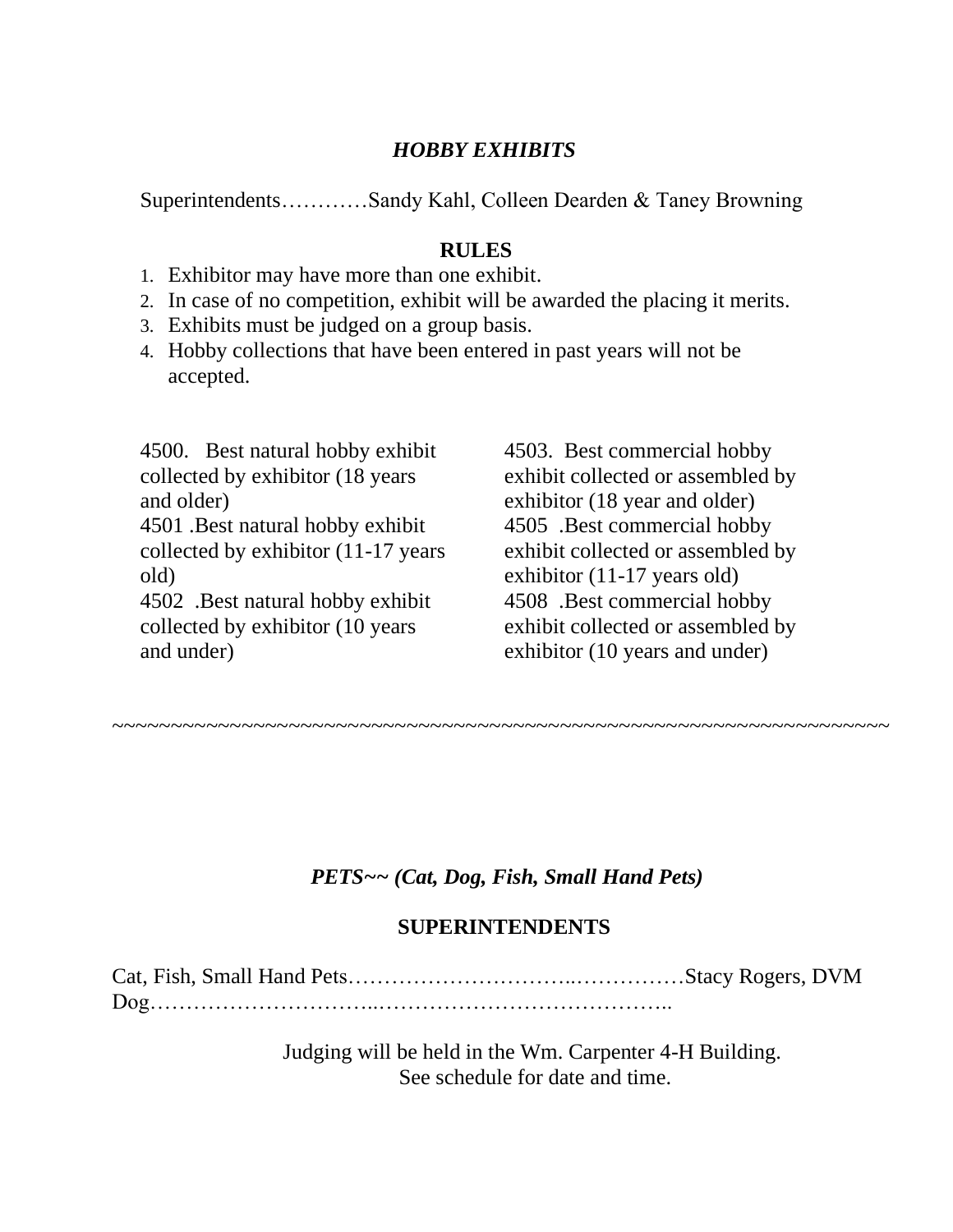#### *HOBBY EXHIBITS*

Superintendents…………Sandy Kahl, Colleen Dearden & Taney Browning

#### **RULES**

- 1. Exhibitor may have more than one exhibit.
- 2. In case of no competition, exhibit will be awarded the placing it merits.
- 3. Exhibits must be judged on a group basis.
- 4. Hobby collections that have been entered in past years will not be accepted.

4500. Best natural hobby exhibit collected by exhibitor (18 years and older) 4501 .Best natural hobby exhibit collected by exhibitor (11-17 years old) 4502 .Best natural hobby exhibit

collected by exhibitor (10 years and under)

4503. Best commercial hobby exhibit collected or assembled by exhibitor (18 year and older) 4505 .Best commercial hobby exhibit collected or assembled by exhibitor (11-17 years old) 4508 .Best commercial hobby exhibit collected or assembled by exhibitor (10 years and under)

~~~~~~~~~~~~~~~~~~~~~~~~~~~~~~~~~~~~~~~~~~~~~~~~~~~~~~~~~~~~~~~~~~

#### *PETS~~ (Cat, Dog, Fish, Small Hand Pets)*

#### **SUPERINTENDENTS**

Cat, Fish, Small Hand Pets…………………………..……………Stacy Rogers, DVM Dog…………………………..…………………………………..

> Judging will be held in the Wm. Carpenter 4-H Building. See schedule for date and time.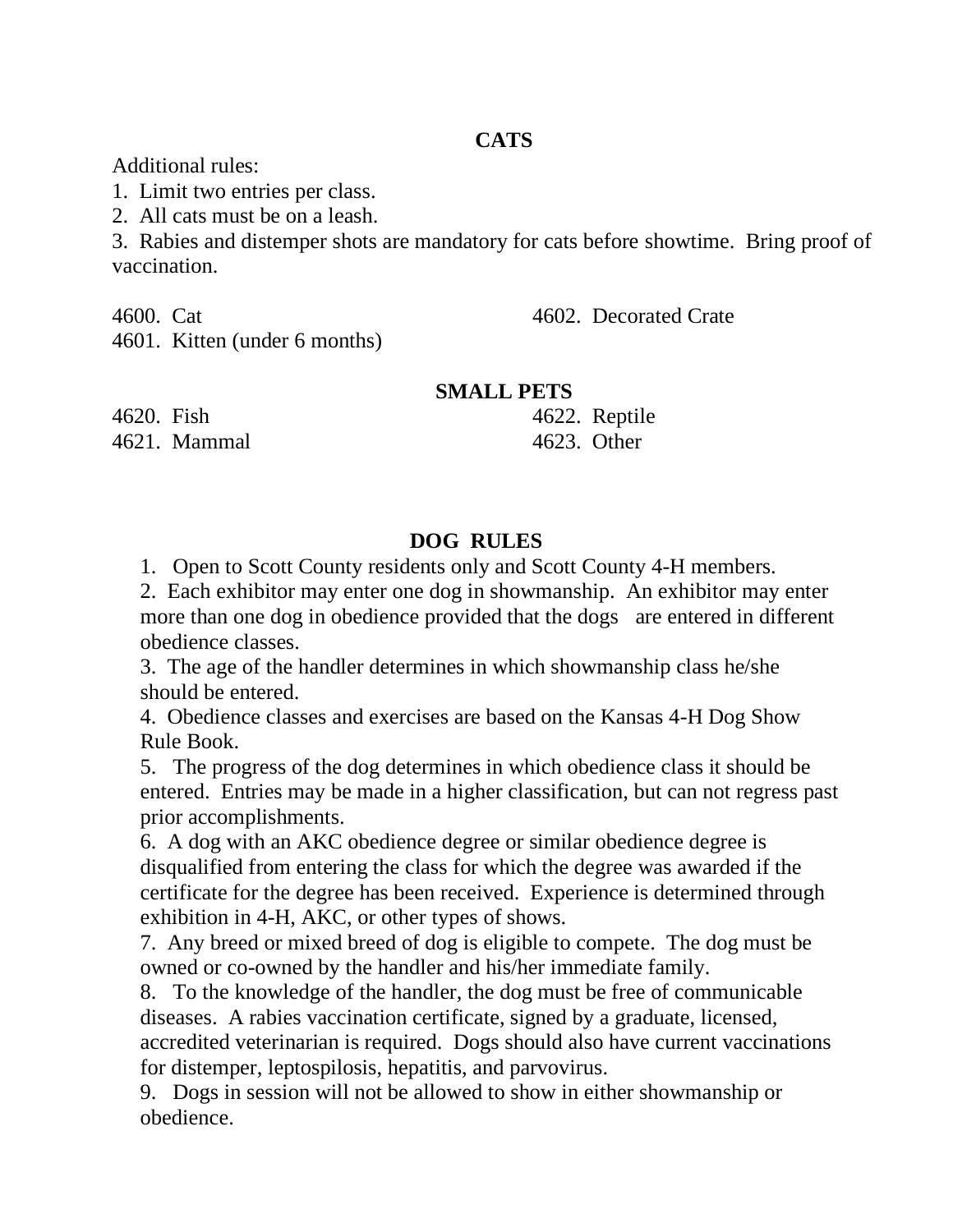#### **CATS**

Additional rules:

1. Limit two entries per class.

2. All cats must be on a leash.

3. Rabies and distemper shots are mandatory for cats before showtime. Bring proof of vaccination.

4600. Cat

4602. Decorated Crate

4601. Kitten (under 6 months)

**SMALL PETS**

4620. Fish 4621. Mammal 4622. Reptile 4623. Other

#### **DOG RULES**

1. Open to Scott County residents only and Scott County 4-H members.

2. Each exhibitor may enter one dog in showmanship. An exhibitor may enter more than one dog in obedience provided that the dogs are entered in different obedience classes.

3. The age of the handler determines in which showmanship class he/she should be entered.

4. Obedience classes and exercises are based on the Kansas 4-H Dog Show Rule Book.

5. The progress of the dog determines in which obedience class it should be entered. Entries may be made in a higher classification, but can not regress past prior accomplishments.

6. A dog with an AKC obedience degree or similar obedience degree is disqualified from entering the class for which the degree was awarded if the certificate for the degree has been received. Experience is determined through exhibition in 4-H, AKC, or other types of shows.

7. Any breed or mixed breed of dog is eligible to compete. The dog must be owned or co-owned by the handler and his/her immediate family.

8. To the knowledge of the handler, the dog must be free of communicable diseases. A rabies vaccination certificate, signed by a graduate, licensed, accredited veterinarian is required. Dogs should also have current vaccinations for distemper, leptospilosis, hepatitis, and parvovirus.

9. Dogs in session will not be allowed to show in either showmanship or obedience.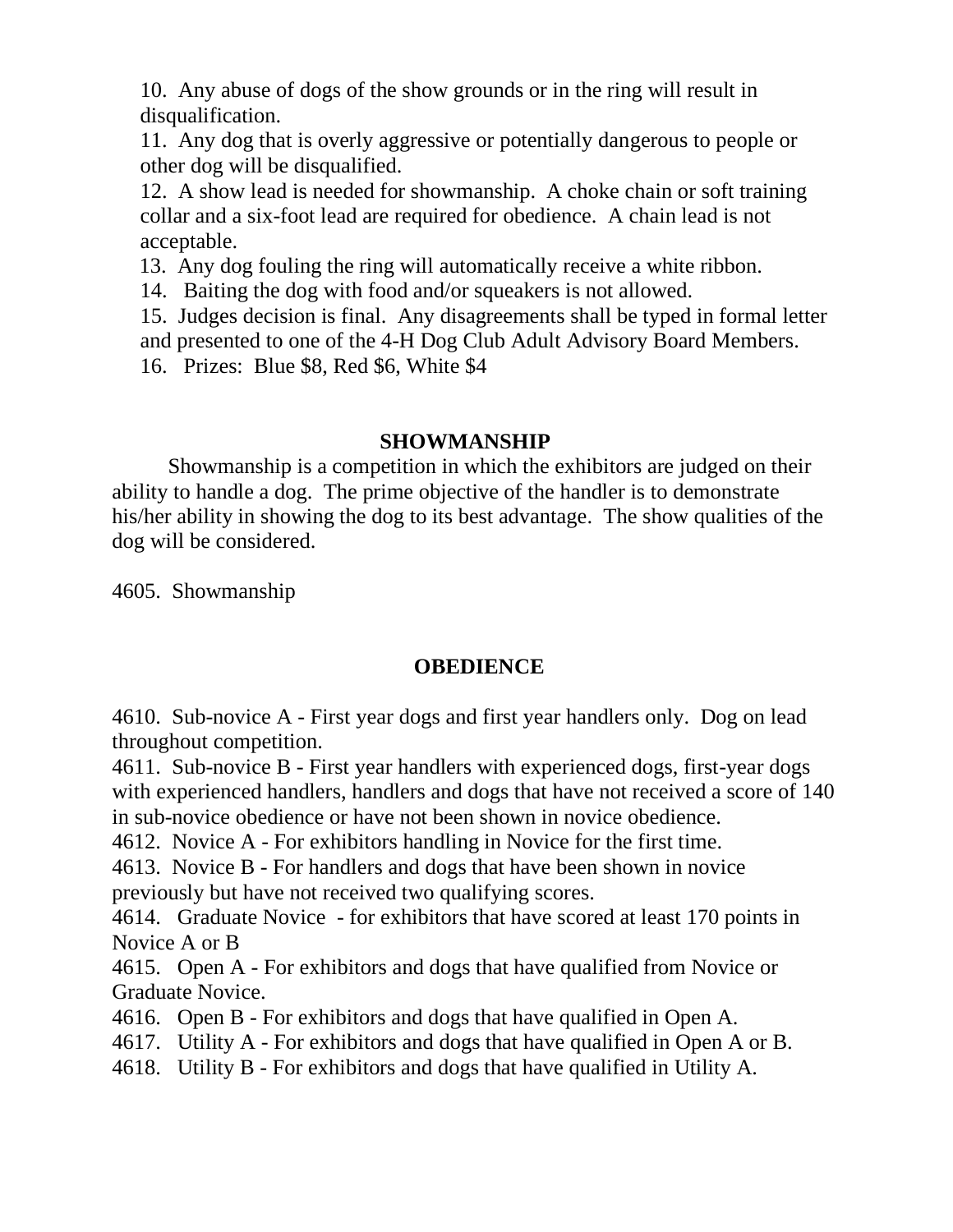10. Any abuse of dogs of the show grounds or in the ring will result in disqualification.

11. Any dog that is overly aggressive or potentially dangerous to people or other dog will be disqualified.

12. A show lead is needed for showmanship. A choke chain or soft training collar and a six-foot lead are required for obedience. A chain lead is not acceptable.

13. Any dog fouling the ring will automatically receive a white ribbon.

14. Baiting the dog with food and/or squeakers is not allowed.

15. Judges decision is final. Any disagreements shall be typed in formal letter and presented to one of the 4-H Dog Club Adult Advisory Board Members. 16. Prizes: Blue \$8, Red \$6, White \$4

#### **SHOWMANSHIP**

Showmanship is a competition in which the exhibitors are judged on their ability to handle a dog. The prime objective of the handler is to demonstrate his/her ability in showing the dog to its best advantage. The show qualities of the dog will be considered.

4605. Showmanship

#### **OBEDIENCE**

4610. Sub-novice A - First year dogs and first year handlers only. Dog on lead throughout competition.

4611. Sub-novice B - First year handlers with experienced dogs, first-year dogs with experienced handlers, handlers and dogs that have not received a score of 140 in sub-novice obedience or have not been shown in novice obedience.

4612. Novice A - For exhibitors handling in Novice for the first time.

4613. Novice B - For handlers and dogs that have been shown in novice previously but have not received two qualifying scores.

4614. Graduate Novice - for exhibitors that have scored at least 170 points in Novice A or B

4615. Open A - For exhibitors and dogs that have qualified from Novice or Graduate Novice.

4616. Open B - For exhibitors and dogs that have qualified in Open A.

4617. Utility A - For exhibitors and dogs that have qualified in Open A or B.

4618. Utility B - For exhibitors and dogs that have qualified in Utility A.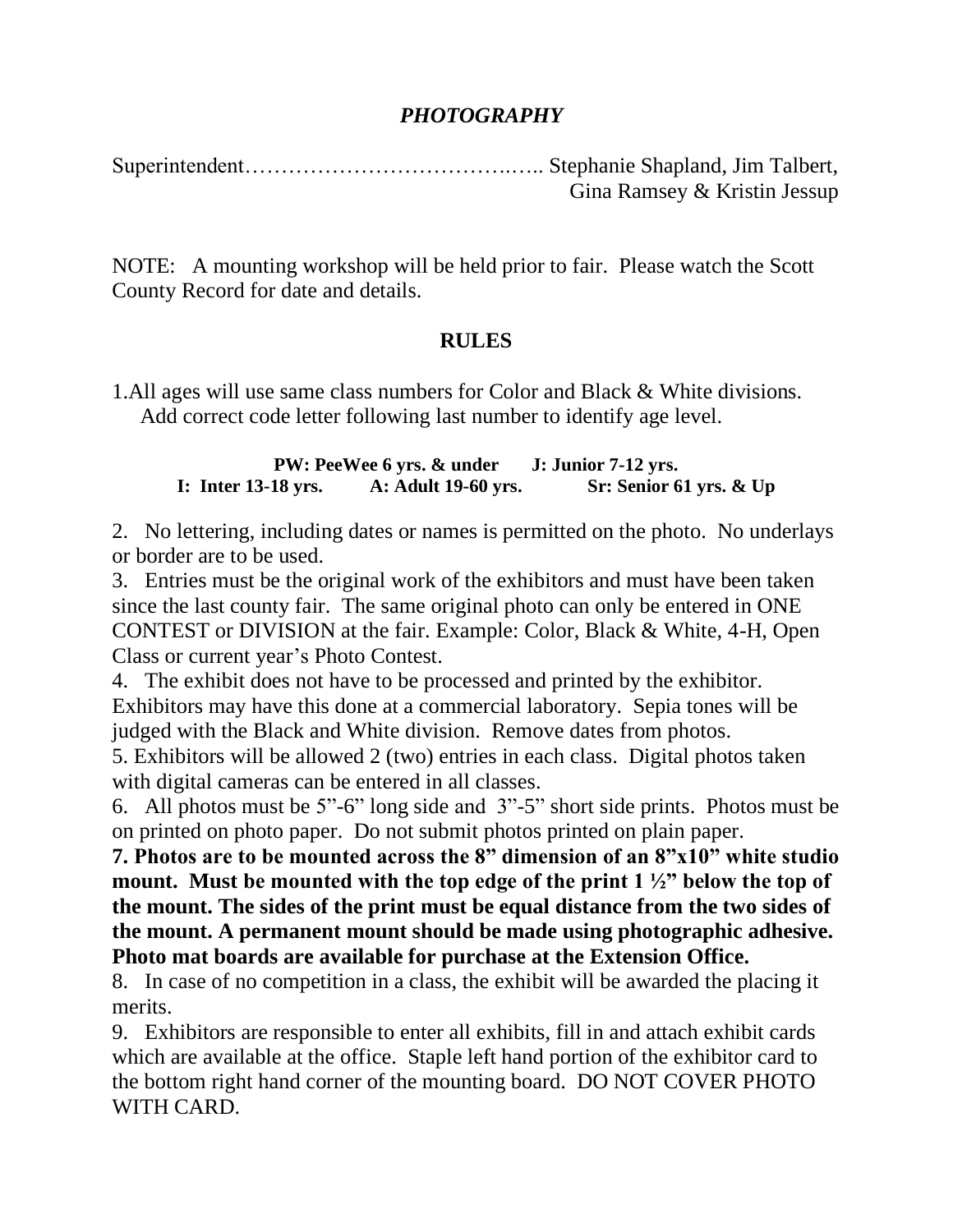#### *PHOTOGRAPHY*

Superintendent……………………………….….. Stephanie Shapland, Jim Talbert, Gina Ramsey & Kristin Jessup

NOTE: A mounting workshop will be held prior to fair. Please watch the Scott County Record for date and details.

#### **RULES**

1.All ages will use same class numbers for Color and Black & White divisions. Add correct code letter following last number to identify age level.

**PW: PeeWee 6 yrs. & under J: Junior 7-12 yrs. I: Inter 13-18 yrs. A: Adult 19-60 yrs. Sr: Senior 61 yrs. & Up**

2. No lettering, including dates or names is permitted on the photo. No underlays or border are to be used.

3. Entries must be the original work of the exhibitors and must have been taken since the last county fair. The same original photo can only be entered in ONE CONTEST or DIVISION at the fair. Example: Color, Black & White, 4-H, Open Class or current year's Photo Contest.

4. The exhibit does not have to be processed and printed by the exhibitor. Exhibitors may have this done at a commercial laboratory. Sepia tones will be judged with the Black and White division. Remove dates from photos.

5. Exhibitors will be allowed 2 (two) entries in each class. Digital photos taken with digital cameras can be entered in all classes.

6. All photos must be 5"-6" long side and 3"-5" short side prints. Photos must be on printed on photo paper. Do not submit photos printed on plain paper.

**7. Photos are to be mounted across the 8" dimension of an 8"x10" white studio mount. Must be mounted with the top edge of the print 1 ½" below the top of the mount. The sides of the print must be equal distance from the two sides of the mount. A permanent mount should be made using photographic adhesive. Photo mat boards are available for purchase at the Extension Office.**

8. In case of no competition in a class, the exhibit will be awarded the placing it merits.

9. Exhibitors are responsible to enter all exhibits, fill in and attach exhibit cards which are available at the office. Staple left hand portion of the exhibitor card to the bottom right hand corner of the mounting board. DO NOT COVER PHOTO WITH CARD.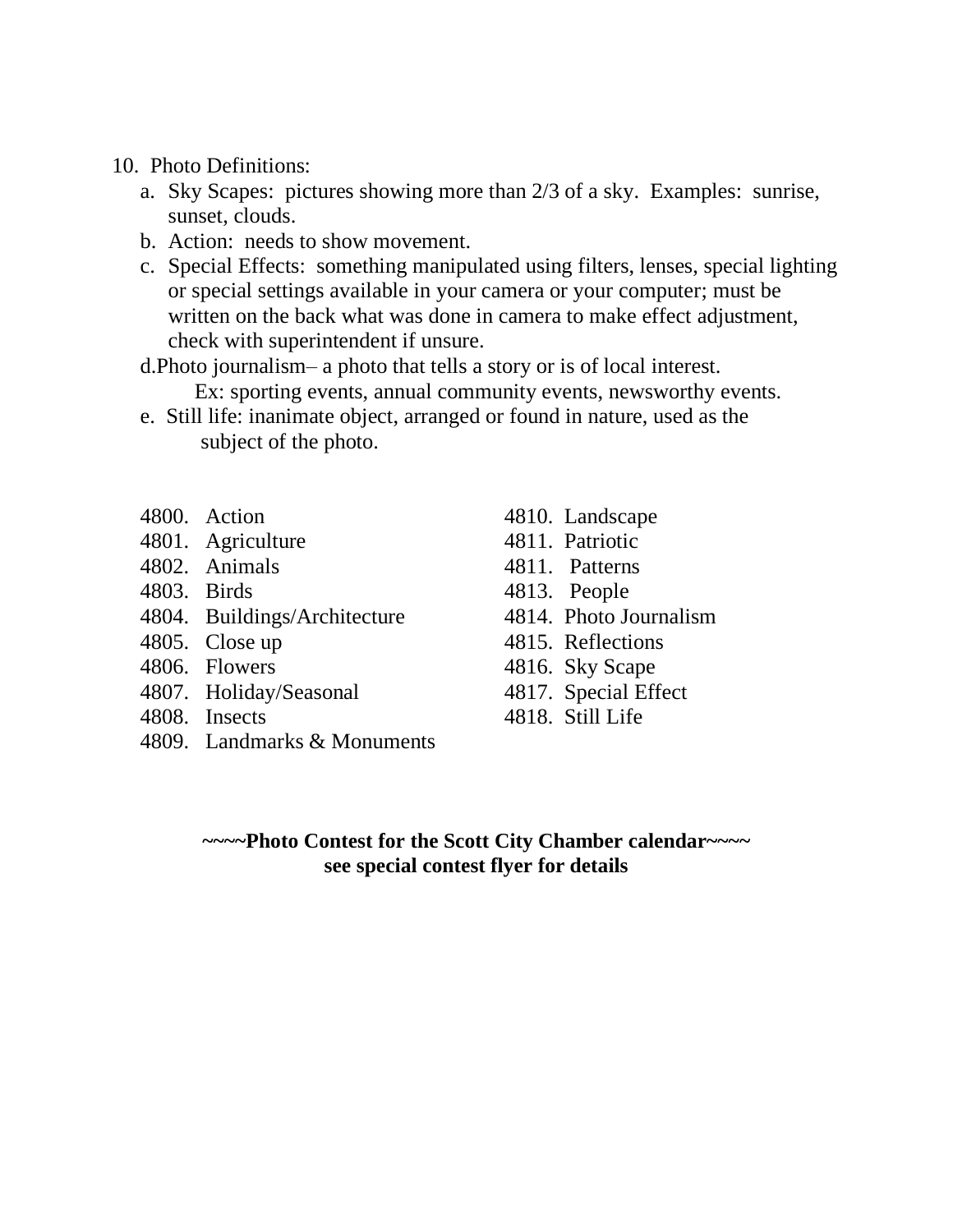- 10. Photo Definitions:
	- a. Sky Scapes: pictures showing more than 2/3 of a sky. Examples: sunrise, sunset, clouds.
	- b. Action: needs to show movement.
	- c. Special Effects: something manipulated using filters, lenses, special lighting or special settings available in your camera or your computer; must be written on the back what was done in camera to make effect adjustment, check with superintendent if unsure.
	- d.Photo journalism– a photo that tells a story or is of local interest. Ex: sporting events, annual community events, newsworthy events.
	- e. Still life: inanimate object, arranged or found in nature, used as the subject of the photo.
	- 4800. Action
	- 4801. Agriculture
	- 4802. Animals
	- 4803. Birds
	- 4804. Buildings/Architecture
	- 4805. Close up
	- 4806. Flowers
	- 4807. Holiday/Seasonal
	- 4808. Insects
	- 4809. Landmarks & Monuments
- 4810. Landscape
- 4811. Patriotic
- 4811. Patterns
- 4813. People
- 4814. Photo Journalism
- 4815. Reflections
- 4816. Sky Scape
- 4817. Special Effect
- 4818. Still Life

**~~~~Photo Contest for the Scott City Chamber calendar~~~~ see special contest flyer for details**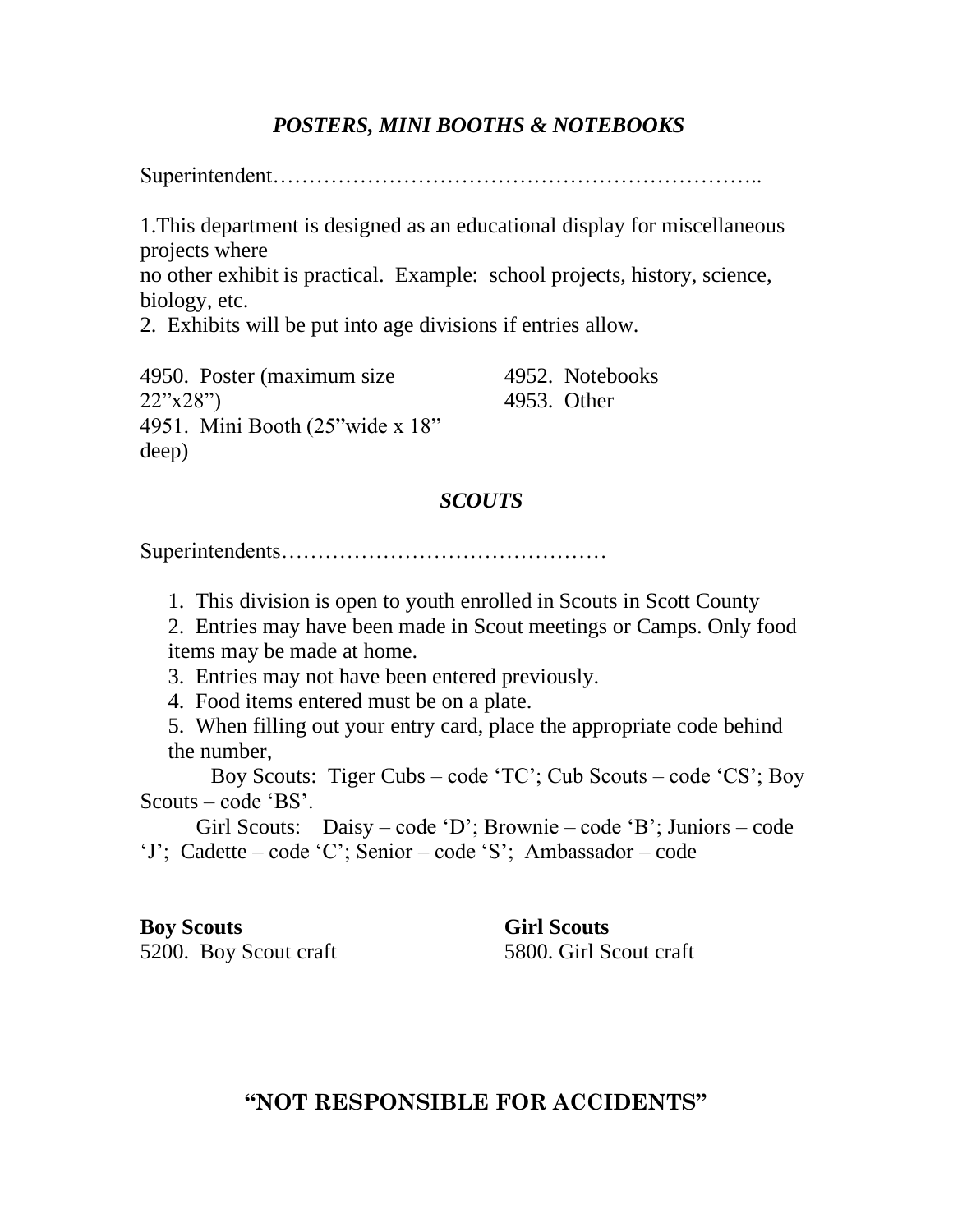#### *POSTERS, MINI BOOTHS & NOTEBOOKS*

Superintendent…………………………………………………………..

1.This department is designed as an educational display for miscellaneous projects where

no other exhibit is practical. Example: school projects, history, science, biology, etc.

2. Exhibits will be put into age divisions if entries allow.

4950. Poster (maximum size 22"x28") 4951. Mini Booth (25"wide x 18" deep) 4952. Notebooks 4953. Other

#### *SCOUTS*

Superintendents………………………………………

1. This division is open to youth enrolled in Scouts in Scott County

2. Entries may have been made in Scout meetings or Camps. Only food items may be made at home.

3. Entries may not have been entered previously.

4. Food items entered must be on a plate.

5. When filling out your entry card, place the appropriate code behind the number,

 Boy Scouts: Tiger Cubs – code 'TC'; Cub Scouts – code 'CS'; Boy Scouts – code 'BS'.

Girl Scouts: Daisy – code 'D'; Brownie – code 'B'; Juniors – code 'J'; Cadette – code 'C'; Senior – code 'S'; Ambassador – code

#### **Boy Scouts**

5200. Boy Scout craft

**Girl Scouts** 5800. Girl Scout craft

#### **"NOT RESPONSIBLE FOR ACCIDENTS"**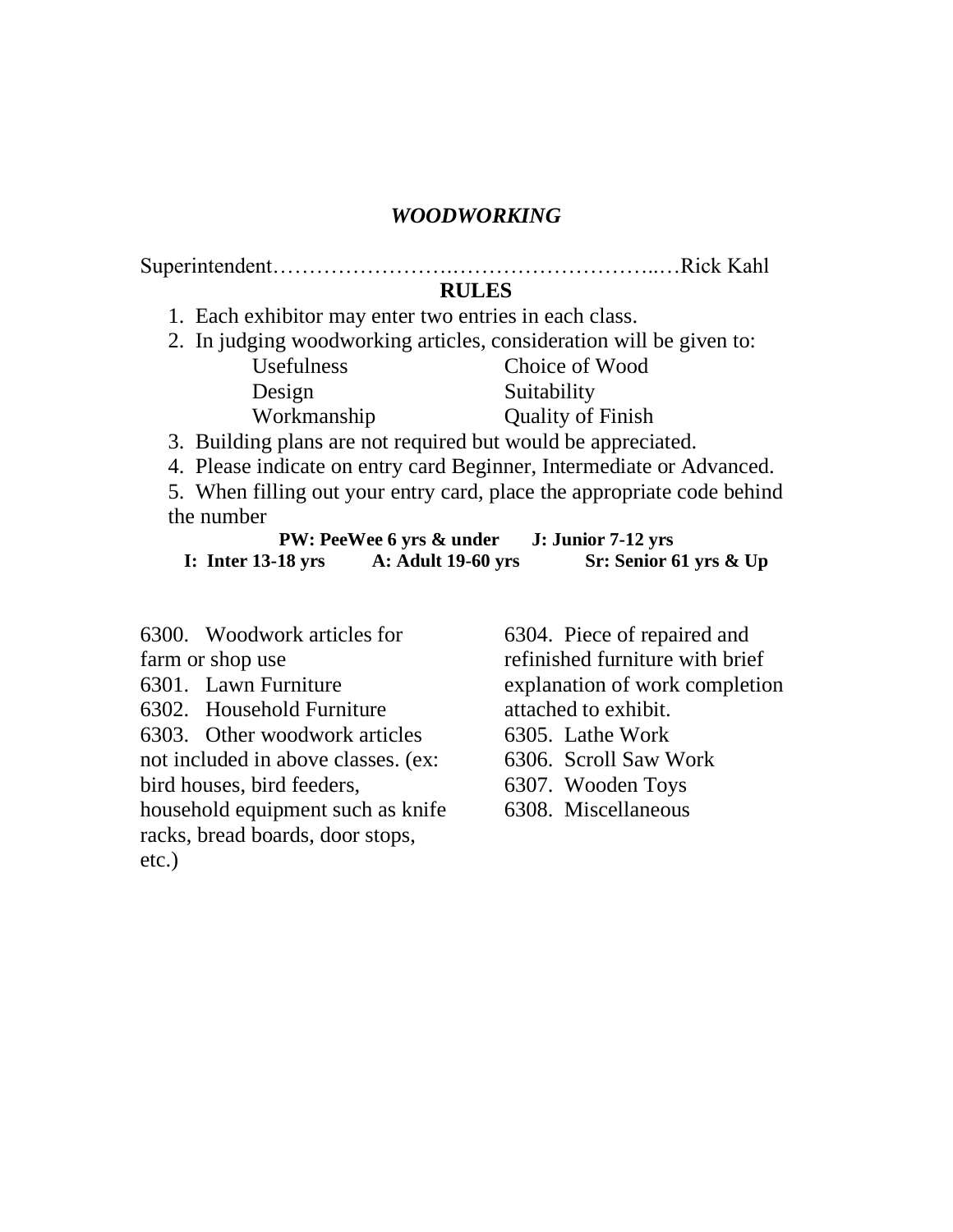#### *WOODWORKING*

Superintendent…………………….………………………..…Rick Kahl

**RULES**

1. Each exhibitor may enter two entries in each class.

- 2. In judging woodworking articles, consideration will be given to:
	- Usefulness Design Workmanship Choice of Wood Suitability Quality of Finish

3. Building plans are not required but would be appreciated.

4. Please indicate on entry card Beginner, Intermediate or Advanced.

5. When filling out your entry card, place the appropriate code behind the number

|                      | <b>PW: PeeWee 6 yrs &amp; under</b> | J: Junior 7-12 yrs     |
|----------------------|-------------------------------------|------------------------|
| I: Inter $13-18$ yrs | <b>A: Adult 19-60 yrs</b>           | Sr: Senior 61 yrs & Up |

6300. Woodwork articles for farm or shop use

- 6301. Lawn Furniture
- 6302. Household Furniture

6303. Other woodwork articles not included in above classes. (ex:

bird houses, bird feeders,

household equipment such as knife racks, bread boards, door stops, etc.)

6304. Piece of repaired and refinished furniture with brief explanation of work completion attached to exhibit. 6305. Lathe Work 6306. Scroll Saw Work 6307. Wooden Toys 6308. Miscellaneous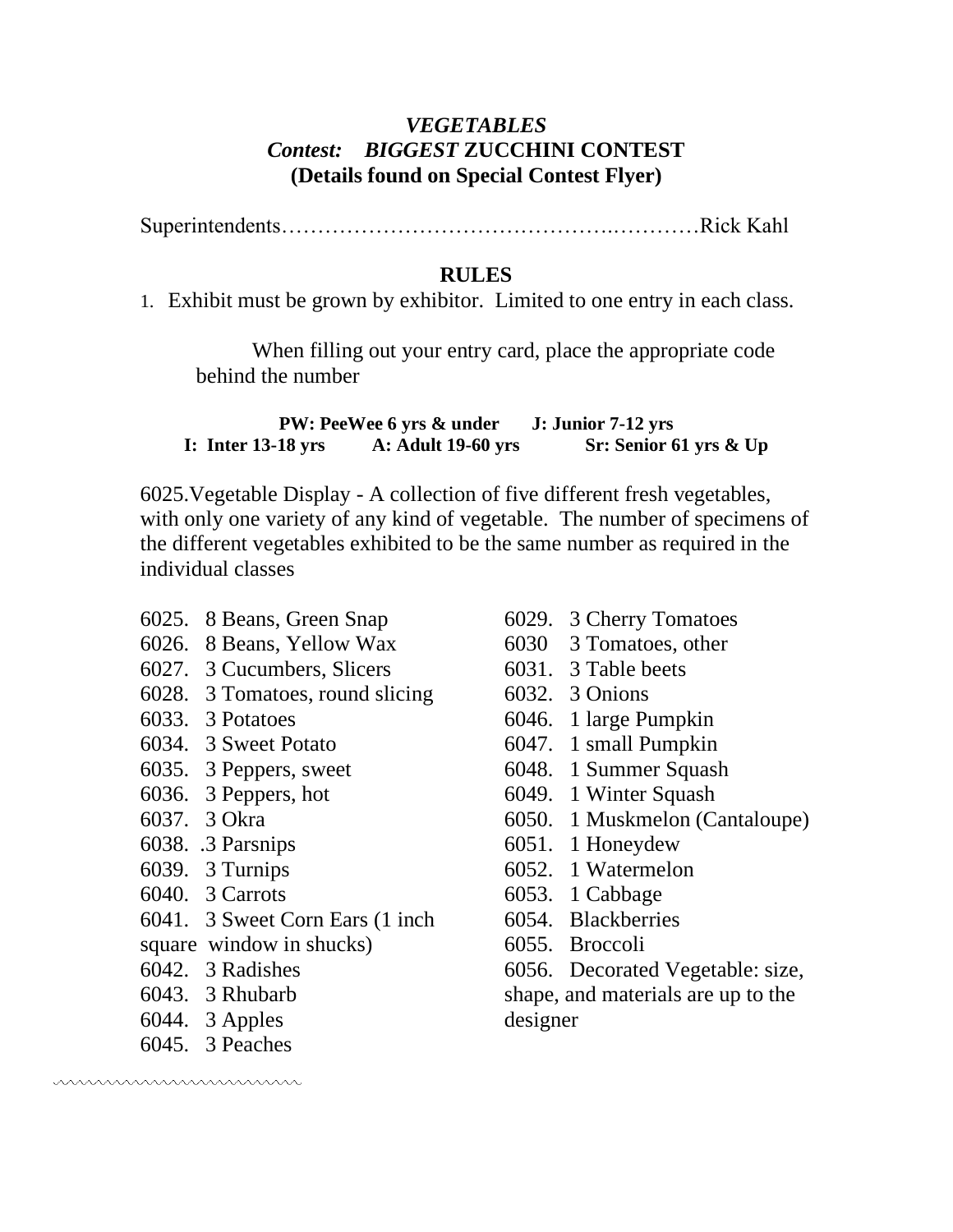#### *VEGETABLES Contest: BIGGEST* **ZUCCHINI CONTEST (Details found on Special Contest Flyer)**

Superintendents……………………………………….…………Rick Kahl

#### **RULES**

1. Exhibit must be grown by exhibitor. Limited to one entry in each class.

When filling out your entry card, place the appropriate code behind the number

**PW: PeeWee 6 yrs & under J: Junior 7-12 yrs I: Inter 13-18 yrs A: Adult 19-60 yrs Sr: Senior 61 yrs & Up**

6025.Vegetable Display - A collection of five different fresh vegetables, with only one variety of any kind of vegetable. The number of specimens of the different vegetables exhibited to be the same number as required in the individual classes

- 6025. 8 Beans, Green Snap
- 6026. 8 Beans, Yellow Wax
- 6027. 3 Cucumbers, Slicers
- 6028. 3 Tomatoes, round slicing
- 6033. 3 Potatoes
- 6034. 3 Sweet Potato
- 6035. 3 Peppers, sweet
- 6036. 3 Peppers, hot
- 6037. 3 Okra
- 6038. .3 Parsnips
- 6039. 3 Turnips
- 6040. 3 Carrots
- 6041. 3 Sweet Corn Ears (1 inch
- square window in shucks)
- 6042. 3 Radishes
- 6043. 3 Rhubarb
- 6044. 3 Apples
- 6045. 3 Peaches

mmmmmmmmmm

- 6029. 3 Cherry Tomatoes
- 6030 3 Tomatoes, other
- 6031. 3 Table beets
- 6032. 3 Onions
- 6046. 1 large Pumpkin
- 6047. 1 small Pumpkin
- 6048. 1 Summer Squash
- 6049. 1 Winter Squash
- 6050. 1 Muskmelon (Cantaloupe)
- 6051. 1 Honeydew
- 6052. 1 Watermelon
- 6053. 1 Cabbage
- 6054. Blackberries
- 6055. Broccoli

6056. Decorated Vegetable: size,

shape, and materials are up to the designer